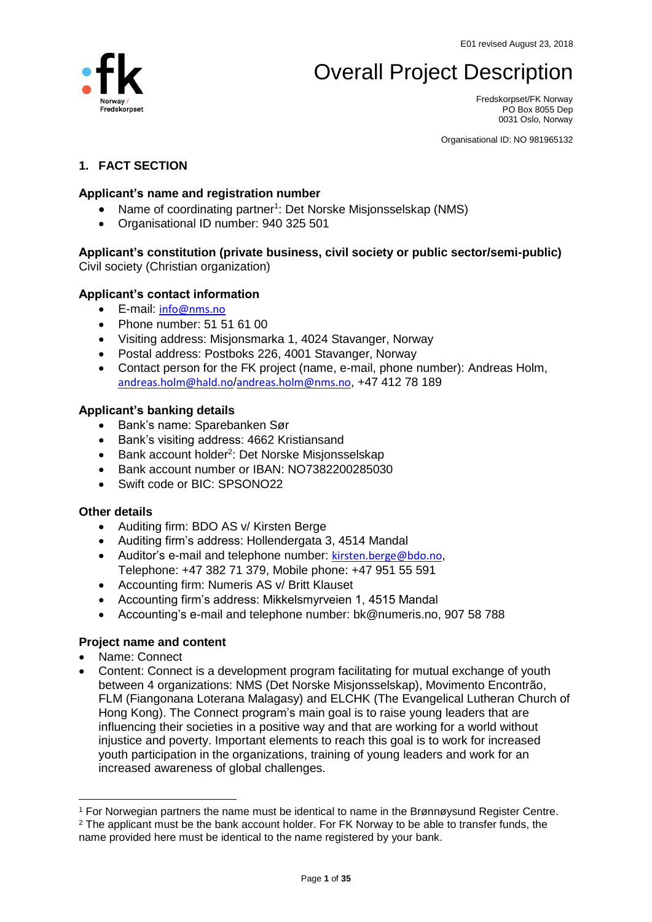# Overall Project Description



Fredskorpset/FK Norway PO Box 8055 Dep 0031 Oslo, Norway

Organisational ID: NO 981965132

### **1. FACT SECTION**

### **Applicant's name and registration number**

- Name of coordinating partner<sup>1</sup>: Det Norske Misjonsselskap (NMS)
- Organisational ID number: 940 325 501

# **Applicant's constitution (private business, civil society or public sector/semi-public)**

Civil society (Christian organization)

### **Applicant's contact information**

- E-mail: [info@nms.no](mailto:info@nms.no)
- Phone number: 51 51 61 00
- Visiting address: Misjonsmarka 1, 4024 Stavanger, Norway
- Postal address: Postboks 226, 4001 Stavanger, Norway
- Contact person for the FK project (name, e-mail, phone number): Andreas Holm, [andreas.holm@hald.no](mailto:andreas.holm@hald.no)/[andreas.holm@nms.no](mailto:andreas.holm@nms.no), +47 412 78 189

### **Applicant's banking details**

- Bank's name: Sparebanken Sør
- Bank's visiting address: 4662 Kristiansand
- Bank account holder<sup>2</sup>: Det Norske Misjonsselskap
- Bank account number or IBAN: NO7382200285030
- Swift code or BIC: SPSONO22

#### **Other details**

- Auditing firm: BDO AS v/ Kirsten Berge
- Auditing firm's address: Hollendergata 3, 4514 Mandal
- Auditor's e-mail and telephone number: [kirsten.berge@bdo.no](mailto:kirsten.berge@bdo.no), Telephone: +47 382 71 379, Mobile phone: +47 951 55 591
- Accounting firm: Numeris AS v/ Britt Klauset
- Accounting firm's address: Mikkelsmyrveien 1, 4515 Mandal
- Accounting's e-mail and telephone number: bk@numeris.no, 907 58 788

### **Project name and content**

• Name: Connect

 $\overline{a}$ 

• Content: Connect is a development program facilitating for mutual exchange of youth between 4 organizations: NMS (Det Norske Misjonsselskap), Movimento Encontrão, FLM (Fiangonana Loterana Malagasy) and ELCHK (The Evangelical Lutheran Church of Hong Kong). The Connect program's main goal is to raise young leaders that are influencing their societies in a positive way and that are working for a world without injustice and poverty. Important elements to reach this goal is to work for increased youth participation in the organizations, training of young leaders and work for an increased awareness of global challenges.

<sup>1</sup> For Norwegian partners the name must be identical to name in the Brønnøysund Register Centre. <sup>2</sup> The applicant must be the bank account holder. For FK Norway to be able to transfer funds, the name provided here must be identical to the name registered by your bank.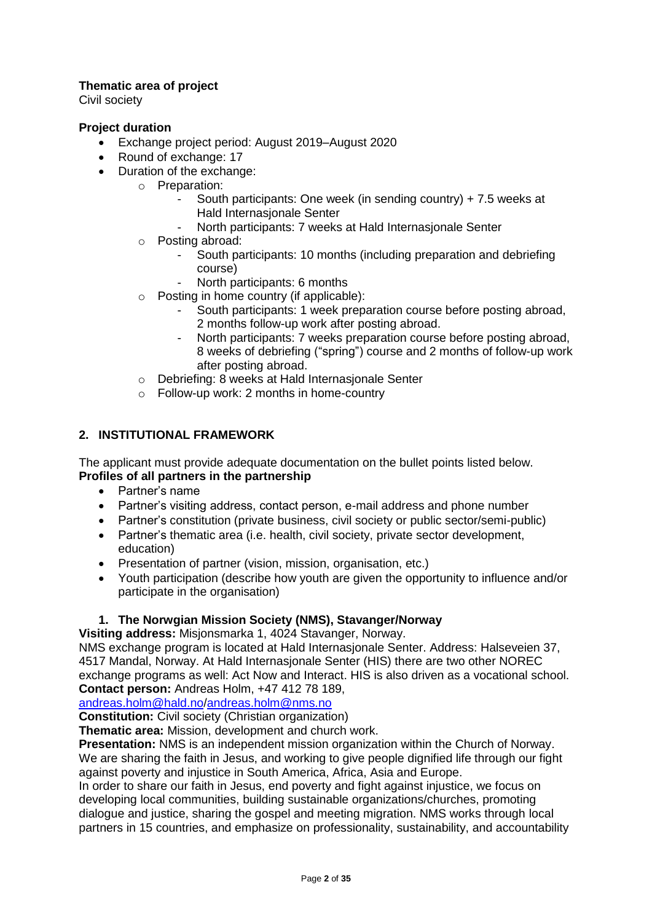# **Thematic area of project**

Civil society

### **Project duration**

- Exchange project period: August 2019–August 2020
- Round of exchange: 17
- Duration of the exchange:
	- o Preparation:
		- South participants: One week (in sending country) + 7.5 weeks at Hald Internasjonale Senter
		- North participants: 7 weeks at Hald Internasjonale Senter
	- o Posting abroad:
		- South participants: 10 months (including preparation and debriefing course)
		- North participants: 6 months
	- o Posting in home country (if applicable):
		- South participants: 1 week preparation course before posting abroad, 2 months follow-up work after posting abroad.
		- North participants: 7 weeks preparation course before posting abroad, 8 weeks of debriefing ("spring") course and 2 months of follow-up work after posting abroad.
	- o Debriefing: 8 weeks at Hald Internasjonale Senter
	- o Follow-up work: 2 months in home-country

### **2. INSTITUTIONAL FRAMEWORK**

The applicant must provide adequate documentation on the bullet points listed below. **Profiles of all partners in the partnership**

- Partner's name
- Partner's visiting address, contact person, e-mail address and phone number
- Partner's constitution (private business, civil society or public sector/semi-public)
- Partner's thematic area (i.e. health, civil society, private sector development, education)
- Presentation of partner (vision, mission, organisation, etc.)
- Youth participation (describe how youth are given the opportunity to influence and/or participate in the organisation)

### **1. The Norwgian Mission Society (NMS), Stavanger/Norway**

**Visiting address:** Misjonsmarka 1, 4024 Stavanger, Norway.

NMS exchange program is located at Hald Internasjonale Senter. Address: Halseveien 37, 4517 Mandal, Norway. At Hald Internasjonale Senter (HIS) there are two other NOREC exchange programs as well: Act Now and Interact. HIS is also driven as a vocational school. **Contact person:** Andreas Holm, +47 412 78 189,

[andreas.holm@hald.no](mailto:andreas.holm@hald.no)[/andreas.holm@nms.no](mailto:andreas.holm@nms.no)

**Constitution:** Civil society (Christian organization)

**Thematic area:** Mission, development and church work.

**Presentation:** NMS is an independent mission organization within the Church of Norway. We are sharing the faith in Jesus, and working to give people dignified life through our fight against poverty and injustice in South America, Africa, Asia and Europe.

In order to share our faith in Jesus, end poverty and fight against injustice, we focus on developing local communities, building sustainable organizations/churches, promoting dialogue and justice, sharing the gospel and meeting migration. NMS works through local partners in 15 countries, and emphasize on professionality, sustainability, and accountability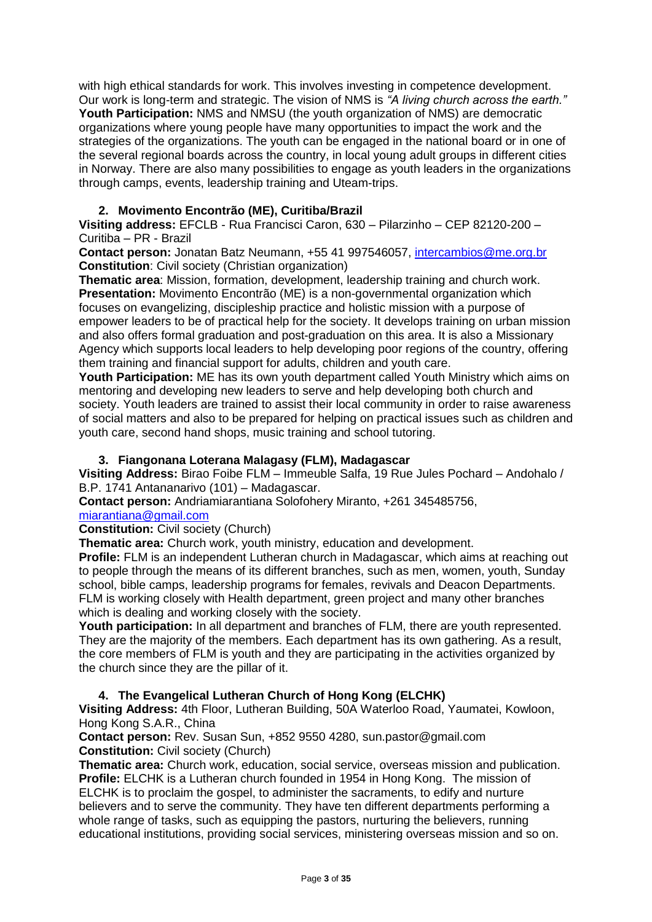with high ethical standards for work. This involves investing in competence development. Our work is long-term and strategic. The vision of NMS is *"A living church across the earth."* **Youth Participation:** NMS and NMSU (the youth organization of NMS) are democratic organizations where young people have many opportunities to impact the work and the strategies of the organizations. The youth can be engaged in the national board or in one of the several regional boards across the country, in local young adult groups in different cities in Norway. There are also many possibilities to engage as youth leaders in the organizations through camps, events, leadership training and Uteam-trips.

### **2. Movimento Encontrão (ME), Curitiba/Brazil**

**Visiting address:** EFCLB - Rua Francisci Caron, 630 – Pilarzinho – CEP 82120-200 – Curitiba – PR - Brazil

**Contact person:** Jonatan Batz Neumann, +55 41 997546057, [intercambios@me.org.br](mailto:intercambios@me.org.br) **Constitution**: Civil society (Christian organization)

**Thematic area**: Mission, formation, development, leadership training and church work. **Presentation:** Movimento Encontrão (ME) is a non-governmental organization which focuses on evangelizing, discipleship practice and holistic mission with a purpose of empower leaders to be of practical help for the society. It develops training on urban mission and also offers formal graduation and post-graduation on this area. It is also a Missionary Agency which supports local leaders to help developing poor regions of the country, offering them training and financial support for adults, children and youth care.

**Youth Participation:** ME has its own youth department called Youth Ministry which aims on mentoring and developing new leaders to serve and help developing both church and society. Youth leaders are trained to assist their local community in order to raise awareness of social matters and also to be prepared for helping on practical issues such as children and youth care, second hand shops, music training and school tutoring.

### **3. Fiangonana Loterana Malagasy (FLM), Madagascar**

**Visiting Address:** Birao Foibe FLM – Immeuble Salfa, 19 Rue Jules Pochard – Andohalo / B.P. 1741 Antananarivo (101) – Madagascar.

**Contact person:** Andriamiarantiana Solofohery Miranto, +261 345485756,

[miarantiana@gmail.com](mailto:miarantiana@gmail.com)

#### **Constitution:** Civil society (Church)

**Thematic area:** Church work, youth ministry, education and development.

**Profile:** FLM is an independent Lutheran church in Madagascar, which aims at reaching out to people through the means of its different branches, such as men, women, youth, Sunday school, bible camps, leadership programs for females, revivals and Deacon Departments. FLM is working closely with Health department, green project and many other branches which is dealing and working closely with the society.

**Youth participation:** In all department and branches of FLM, there are youth represented. They are the majority of the members. Each department has its own gathering. As a result, the core members of FLM is youth and they are participating in the activities organized by the church since they are the pillar of it.

### **4. The Evangelical Lutheran Church of Hong Kong (ELCHK)**

**Visiting Address:** 4th Floor, Lutheran Building, 50A Waterloo Road, Yaumatei, Kowloon, Hong Kong S.A.R., China

**Contact person:** Rev. Susan Sun, +852 9550 4280, sun.pastor@gmail.com **Constitution:** Civil society (Church)

**Thematic area:** Church work, education, social service, overseas mission and publication. **Profile:** ELCHK is a Lutheran church founded in 1954 in Hong Kong. The mission of ELCHK is to proclaim the gospel, to administer the sacraments, to edify and nurture believers and to serve the community. They have ten different departments performing a whole range of tasks, such as equipping the pastors, nurturing the believers, running educational institutions, providing social services, ministering overseas mission and so on.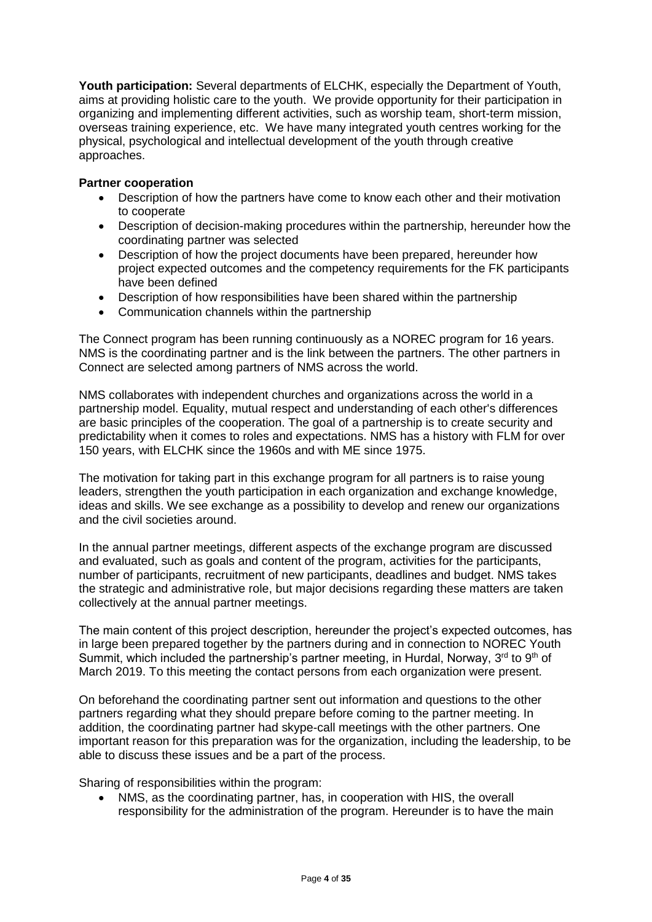**Youth participation:** Several departments of ELCHK, especially the Department of Youth, aims at providing holistic care to the youth. We provide opportunity for their participation in organizing and implementing different activities, such as worship team, short-term mission, overseas training experience, etc. We have many integrated youth centres working for the physical, psychological and intellectual development of the youth through creative approaches.

### **Partner cooperation**

- Description of how the partners have come to know each other and their motivation to cooperate
- Description of decision-making procedures within the partnership, hereunder how the coordinating partner was selected
- Description of how the project documents have been prepared, hereunder how project expected outcomes and the competency requirements for the FK participants have been defined
- Description of how responsibilities have been shared within the partnership
- Communication channels within the partnership

The Connect program has been running continuously as a NOREC program for 16 years. NMS is the coordinating partner and is the link between the partners. The other partners in Connect are selected among partners of NMS across the world.

NMS collaborates with independent churches and organizations across the world in a partnership model. Equality, mutual respect and understanding of each other's differences are basic principles of the cooperation. The goal of a partnership is to create security and predictability when it comes to roles and expectations. NMS has a history with FLM for over 150 years, with ELCHK since the 1960s and with ME since 1975.

The motivation for taking part in this exchange program for all partners is to raise young leaders, strengthen the youth participation in each organization and exchange knowledge, ideas and skills. We see exchange as a possibility to develop and renew our organizations and the civil societies around.

In the annual partner meetings, different aspects of the exchange program are discussed and evaluated, such as goals and content of the program, activities for the participants, number of participants, recruitment of new participants, deadlines and budget. NMS takes the strategic and administrative role, but major decisions regarding these matters are taken collectively at the annual partner meetings.

The main content of this project description, hereunder the project's expected outcomes, has in large been prepared together by the partners during and in connection to NOREC Youth Summit, which included the partnership's partner meeting, in Hurdal, Norway, 3<sup>rd</sup> to 9<sup>th</sup> of March 2019. To this meeting the contact persons from each organization were present.

On beforehand the coordinating partner sent out information and questions to the other partners regarding what they should prepare before coming to the partner meeting. In addition, the coordinating partner had skype-call meetings with the other partners. One important reason for this preparation was for the organization, including the leadership, to be able to discuss these issues and be a part of the process.

Sharing of responsibilities within the program:

• NMS, as the coordinating partner, has, in cooperation with HIS, the overall responsibility for the administration of the program. Hereunder is to have the main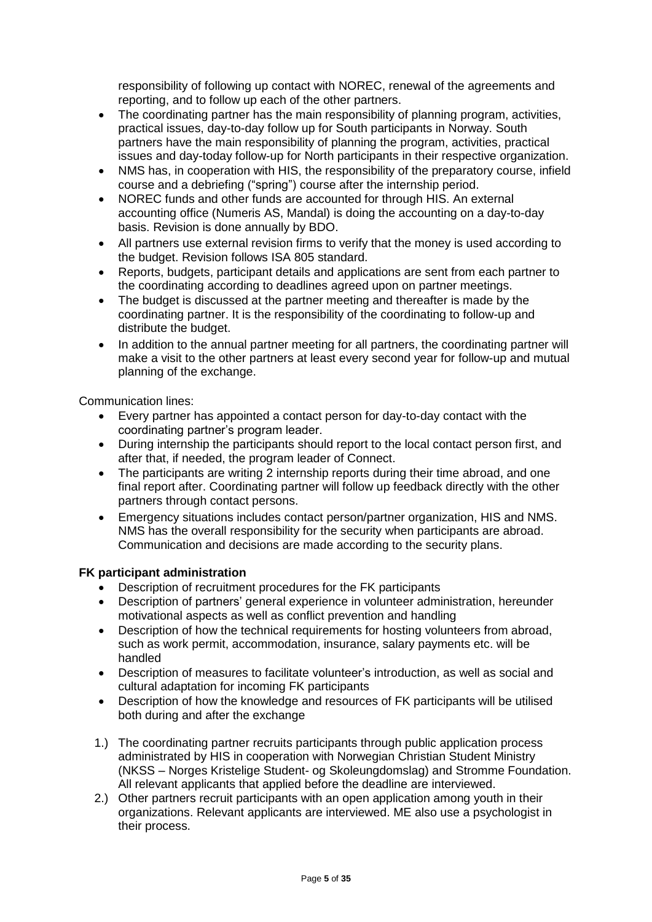responsibility of following up contact with NOREC, renewal of the agreements and reporting, and to follow up each of the other partners.

- The coordinating partner has the main responsibility of planning program, activities, practical issues, day-to-day follow up for South participants in Norway. South partners have the main responsibility of planning the program, activities, practical issues and day-today follow-up for North participants in their respective organization.
- NMS has, in cooperation with HIS, the responsibility of the preparatory course, infield course and a debriefing ("spring") course after the internship period.
- NOREC funds and other funds are accounted for through HIS. An external accounting office (Numeris AS, Mandal) is doing the accounting on a day-to-day basis. Revision is done annually by BDO.
- All partners use external revision firms to verify that the money is used according to the budget. Revision follows ISA 805 standard.
- Reports, budgets, participant details and applications are sent from each partner to the coordinating according to deadlines agreed upon on partner meetings.
- The budget is discussed at the partner meeting and thereafter is made by the coordinating partner. It is the responsibility of the coordinating to follow-up and distribute the budget.
- In addition to the annual partner meeting for all partners, the coordinating partner will make a visit to the other partners at least every second year for follow-up and mutual planning of the exchange.

Communication lines:

- Every partner has appointed a contact person for day-to-day contact with the coordinating partner's program leader.
- During internship the participants should report to the local contact person first, and after that, if needed, the program leader of Connect.
- The participants are writing 2 internship reports during their time abroad, and one final report after. Coordinating partner will follow up feedback directly with the other partners through contact persons.
- Emergency situations includes contact person/partner organization, HIS and NMS. NMS has the overall responsibility for the security when participants are abroad. Communication and decisions are made according to the security plans.

### **FK participant administration**

- Description of recruitment procedures for the FK participants
- Description of partners' general experience in volunteer administration, hereunder motivational aspects as well as conflict prevention and handling
- Description of how the technical requirements for hosting volunteers from abroad. such as work permit, accommodation, insurance, salary payments etc. will be handled
- Description of measures to facilitate volunteer's introduction, as well as social and cultural adaptation for incoming FK participants
- Description of how the knowledge and resources of FK participants will be utilised both during and after the exchange
- 1.) The coordinating partner recruits participants through public application process administrated by HIS in cooperation with Norwegian Christian Student Ministry (NKSS – Norges Kristelige Student- og Skoleungdomslag) and Stromme Foundation. All relevant applicants that applied before the deadline are interviewed.
- 2.) Other partners recruit participants with an open application among youth in their organizations. Relevant applicants are interviewed. ME also use a psychologist in their process.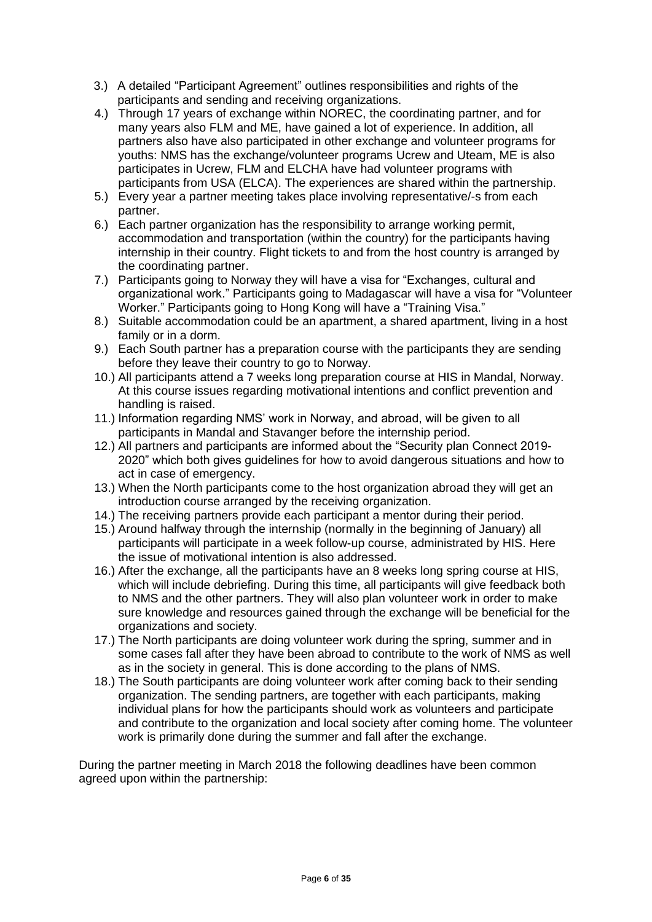- 3.) A detailed "Participant Agreement" outlines responsibilities and rights of the participants and sending and receiving organizations.
- 4.) Through 17 years of exchange within NOREC, the coordinating partner, and for many years also FLM and ME, have gained a lot of experience. In addition, all partners also have also participated in other exchange and volunteer programs for youths: NMS has the exchange/volunteer programs Ucrew and Uteam, ME is also participates in Ucrew, FLM and ELCHA have had volunteer programs with participants from USA (ELCA). The experiences are shared within the partnership.
- 5.) Every year a partner meeting takes place involving representative/-s from each partner.
- 6.) Each partner organization has the responsibility to arrange working permit, accommodation and transportation (within the country) for the participants having internship in their country. Flight tickets to and from the host country is arranged by the coordinating partner.
- 7.) Participants going to Norway they will have a visa for "Exchanges, cultural and organizational work." Participants going to Madagascar will have a visa for "Volunteer Worker." Participants going to Hong Kong will have a "Training Visa."
- 8.) Suitable accommodation could be an apartment, a shared apartment, living in a host family or in a dorm.
- 9.) Each South partner has a preparation course with the participants they are sending before they leave their country to go to Norway.
- 10.) All participants attend a 7 weeks long preparation course at HIS in Mandal, Norway. At this course issues regarding motivational intentions and conflict prevention and handling is raised.
- 11.) Information regarding NMS' work in Norway, and abroad, will be given to all participants in Mandal and Stavanger before the internship period.
- 12.) All partners and participants are informed about the "Security plan Connect 2019- 2020" which both gives guidelines for how to avoid dangerous situations and how to act in case of emergency.
- 13.) When the North participants come to the host organization abroad they will get an introduction course arranged by the receiving organization.
- 14.) The receiving partners provide each participant a mentor during their period.
- 15.) Around halfway through the internship (normally in the beginning of January) all participants will participate in a week follow-up course, administrated by HIS. Here the issue of motivational intention is also addressed.
- 16.) After the exchange, all the participants have an 8 weeks long spring course at HIS, which will include debriefing. During this time, all participants will give feedback both to NMS and the other partners. They will also plan volunteer work in order to make sure knowledge and resources gained through the exchange will be beneficial for the organizations and society.
- 17.) The North participants are doing volunteer work during the spring, summer and in some cases fall after they have been abroad to contribute to the work of NMS as well as in the society in general. This is done according to the plans of NMS.
- 18.) The South participants are doing volunteer work after coming back to their sending organization. The sending partners, are together with each participants, making individual plans for how the participants should work as volunteers and participate and contribute to the organization and local society after coming home. The volunteer work is primarily done during the summer and fall after the exchange.

During the partner meeting in March 2018 the following deadlines have been common agreed upon within the partnership: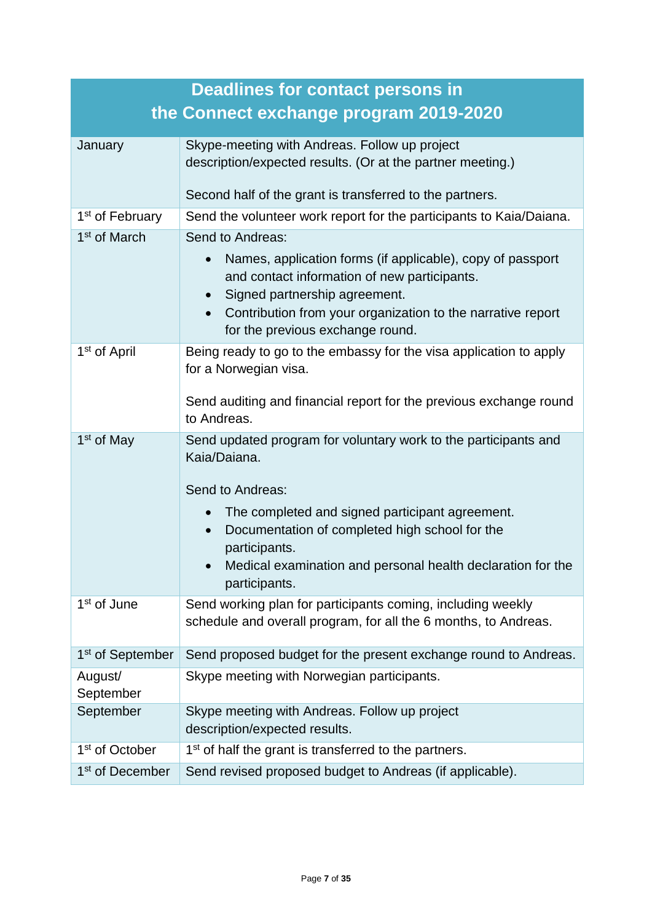|                              | <b>Deadlines for contact persons in</b>                                                                                 |
|------------------------------|-------------------------------------------------------------------------------------------------------------------------|
|                              | the Connect exchange program 2019-2020                                                                                  |
| January                      | Skype-meeting with Andreas. Follow up project                                                                           |
|                              | description/expected results. (Or at the partner meeting.)                                                              |
|                              | Second half of the grant is transferred to the partners.                                                                |
| 1 <sup>st</sup> of February  | Send the volunteer work report for the participants to Kaia/Daiana.                                                     |
| 1 <sup>st</sup> of March     | Send to Andreas:                                                                                                        |
|                              | Names, application forms (if applicable), copy of passport<br>$\bullet$<br>and contact information of new participants. |
|                              | Signed partnership agreement.<br>$\bullet$                                                                              |
|                              | Contribution from your organization to the narrative report<br>$\bullet$<br>for the previous exchange round.            |
| 1 <sup>st</sup> of April     | Being ready to go to the embassy for the visa application to apply<br>for a Norwegian visa.                             |
|                              | Send auditing and financial report for the previous exchange round<br>to Andreas.                                       |
| 1 <sup>st</sup> of May       | Send updated program for voluntary work to the participants and<br>Kaia/Daiana.                                         |
|                              | Send to Andreas:                                                                                                        |
|                              | The completed and signed participant agreement.<br>$\bullet$                                                            |
|                              | Documentation of completed high school for the<br>$\bullet$                                                             |
|                              | participants.                                                                                                           |
|                              | Medical examination and personal health declaration for the<br>participants.                                            |
| 1 <sup>st</sup> of June      | Send working plan for participants coming, including weekly                                                             |
|                              | schedule and overall program, for all the 6 months, to Andreas.                                                         |
| 1 <sup>st</sup> of September | Send proposed budget for the present exchange round to Andreas.                                                         |
| August/<br>September         | Skype meeting with Norwegian participants.                                                                              |
| September                    | Skype meeting with Andreas. Follow up project<br>description/expected results.                                          |
| 1 <sup>st</sup> of October   | 1 <sup>st</sup> of half the grant is transferred to the partners.                                                       |
| 1 <sup>st</sup> of December  | Send revised proposed budget to Andreas (if applicable).                                                                |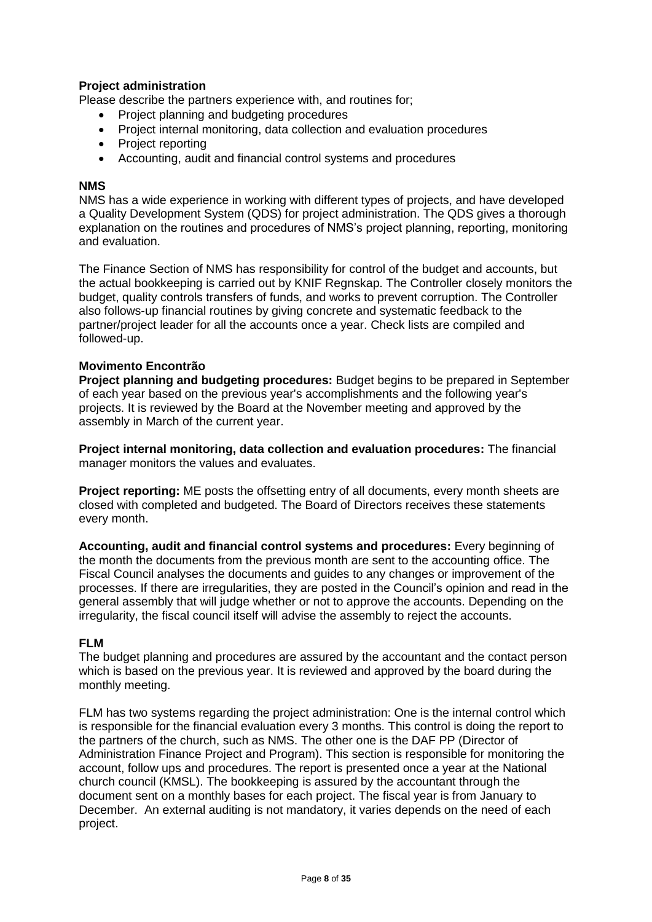### **Project administration**

Please describe the partners experience with, and routines for;

- Project planning and budgeting procedures
- Project internal monitoring, data collection and evaluation procedures
- Project reporting
- Accounting, audit and financial control systems and procedures

#### **NMS**

NMS has a wide experience in working with different types of projects, and have developed a Quality Development System (QDS) for project administration. The QDS gives a thorough explanation on the routines and procedures of NMS's project planning, reporting, monitoring and evaluation.

The Finance Section of NMS has responsibility for control of the budget and accounts, but the actual bookkeeping is carried out by KNIF Regnskap. The Controller closely monitors the budget, quality controls transfers of funds, and works to prevent corruption. The Controller also follows-up financial routines by giving concrete and systematic feedback to the partner/project leader for all the accounts once a year. Check lists are compiled and followed-up.

### **Movimento Encontrão**

**Project planning and budgeting procedures:** Budget begins to be prepared in September of each year based on the previous year's accomplishments and the following year's projects. It is reviewed by the Board at the November meeting and approved by the assembly in March of the current year.

**Project internal monitoring, data collection and evaluation procedures:** The financial manager monitors the values and evaluates.

**Project reporting:** ME posts the offsetting entry of all documents, every month sheets are closed with completed and budgeted. The Board of Directors receives these statements every month.

**Accounting, audit and financial control systems and procedures:** Every beginning of the month the documents from the previous month are sent to the accounting office. The Fiscal Council analyses the documents and guides to any changes or improvement of the processes. If there are irregularities, they are posted in the Council's opinion and read in the general assembly that will judge whether or not to approve the accounts. Depending on the irregularity, the fiscal council itself will advise the assembly to reject the accounts.

#### **FLM**

The budget planning and procedures are assured by the accountant and the contact person which is based on the previous year. It is reviewed and approved by the board during the monthly meeting.

FLM has two systems regarding the project administration: One is the internal control which is responsible for the financial evaluation every 3 months. This control is doing the report to the partners of the church, such as NMS. The other one is the DAF PP (Director of Administration Finance Project and Program). This section is responsible for monitoring the account, follow ups and procedures. The report is presented once a year at the National church council (KMSL). The bookkeeping is assured by the accountant through the document sent on a monthly bases for each project. The fiscal year is from January to December. An external auditing is not mandatory, it varies depends on the need of each project.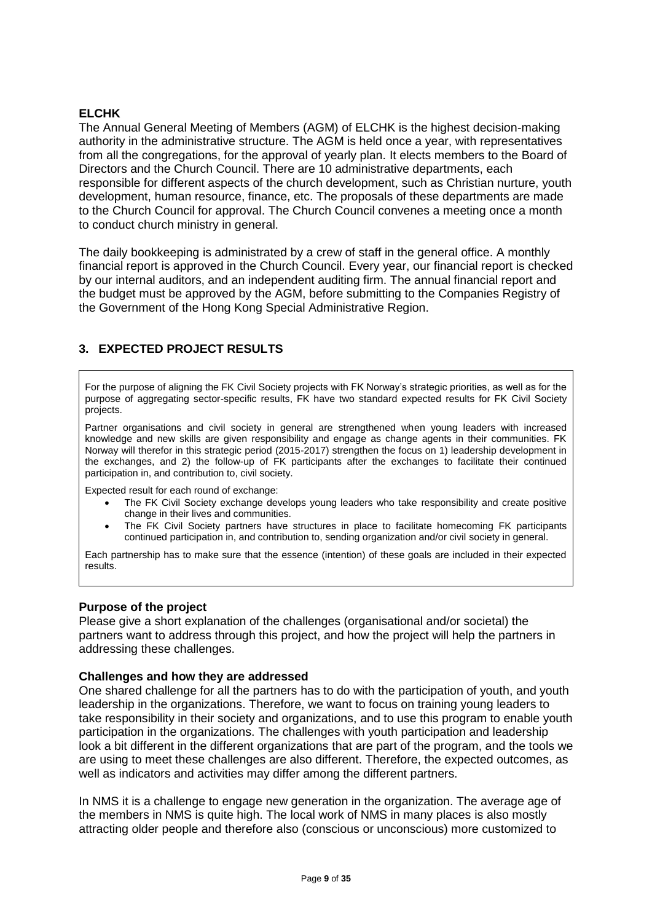### **ELCHK**

The Annual General Meeting of Members (AGM) of ELCHK is the highest decision-making authority in the administrative structure. The AGM is held once a year, with representatives from all the congregations, for the approval of yearly plan. It elects members to the Board of Directors and the Church Council. There are 10 administrative departments, each responsible for different aspects of the church development, such as Christian nurture, youth development, human resource, finance, etc. The proposals of these departments are made to the Church Council for approval. The Church Council convenes a meeting once a month to conduct church ministry in general.

The daily bookkeeping is administrated by a crew of staff in the general office. A monthly financial report is approved in the Church Council. Every year, our financial report is checked by our internal auditors, and an independent auditing firm. The annual financial report and the budget must be approved by the AGM, before submitting to the Companies Registry of the Government of the Hong Kong Special Administrative Region.

# **3. EXPECTED PROJECT RESULTS**

For the purpose of aligning the FK Civil Society projects with FK Norway's strategic priorities, as well as for the purpose of aggregating sector-specific results, FK have two standard expected results for FK Civil Society projects.

Partner organisations and civil society in general are strengthened when young leaders with increased knowledge and new skills are given responsibility and engage as change agents in their communities. FK Norway will therefor in this strategic period (2015-2017) strengthen the focus on 1) leadership development in the exchanges, and 2) the follow-up of FK participants after the exchanges to facilitate their continued participation in, and contribution to, civil society.

Expected result for each round of exchange:

- The FK Civil Society exchange develops young leaders who take responsibility and create positive change in their lives and communities.
- The FK Civil Society partners have structures in place to facilitate homecoming FK participants continued participation in, and contribution to, sending organization and/or civil society in general.

Each partnership has to make sure that the essence (intention) of these goals are included in their expected results.

### **Purpose of the project**

Please give a short explanation of the challenges (organisational and/or societal) the partners want to address through this project, and how the project will help the partners in addressing these challenges.

#### **Challenges and how they are addressed**

One shared challenge for all the partners has to do with the participation of youth, and youth leadership in the organizations. Therefore, we want to focus on training young leaders to take responsibility in their society and organizations, and to use this program to enable youth participation in the organizations. The challenges with youth participation and leadership look a bit different in the different organizations that are part of the program, and the tools we are using to meet these challenges are also different. Therefore, the expected outcomes, as well as indicators and activities may differ among the different partners.

In NMS it is a challenge to engage new generation in the organization. The average age of the members in NMS is quite high. The local work of NMS in many places is also mostly attracting older people and therefore also (conscious or unconscious) more customized to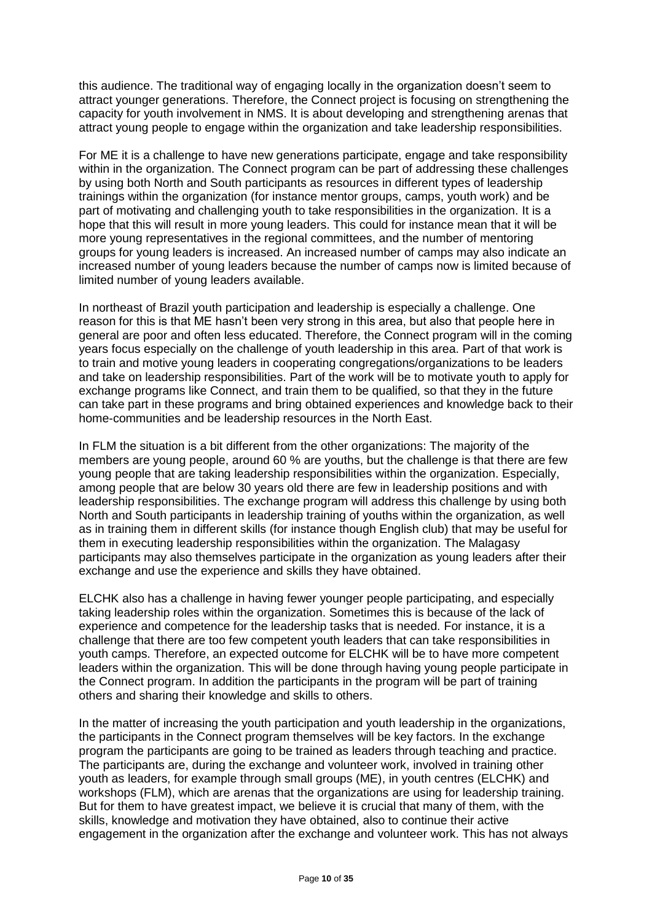this audience. The traditional way of engaging locally in the organization doesn't seem to attract younger generations. Therefore, the Connect project is focusing on strengthening the capacity for youth involvement in NMS. It is about developing and strengthening arenas that attract young people to engage within the organization and take leadership responsibilities.

For ME it is a challenge to have new generations participate, engage and take responsibility within in the organization. The Connect program can be part of addressing these challenges by using both North and South participants as resources in different types of leadership trainings within the organization (for instance mentor groups, camps, youth work) and be part of motivating and challenging youth to take responsibilities in the organization. It is a hope that this will result in more young leaders. This could for instance mean that it will be more young representatives in the regional committees, and the number of mentoring groups for young leaders is increased. An increased number of camps may also indicate an increased number of young leaders because the number of camps now is limited because of limited number of young leaders available.

In northeast of Brazil youth participation and leadership is especially a challenge. One reason for this is that ME hasn't been very strong in this area, but also that people here in general are poor and often less educated. Therefore, the Connect program will in the coming years focus especially on the challenge of youth leadership in this area. Part of that work is to train and motive young leaders in cooperating congregations/organizations to be leaders and take on leadership responsibilities. Part of the work will be to motivate youth to apply for exchange programs like Connect, and train them to be qualified, so that they in the future can take part in these programs and bring obtained experiences and knowledge back to their home-communities and be leadership resources in the North East.

In FLM the situation is a bit different from the other organizations: The majority of the members are young people, around 60 % are youths, but the challenge is that there are few young people that are taking leadership responsibilities within the organization. Especially, among people that are below 30 years old there are few in leadership positions and with leadership responsibilities. The exchange program will address this challenge by using both North and South participants in leadership training of youths within the organization, as well as in training them in different skills (for instance though English club) that may be useful for them in executing leadership responsibilities within the organization. The Malagasy participants may also themselves participate in the organization as young leaders after their exchange and use the experience and skills they have obtained.

ELCHK also has a challenge in having fewer younger people participating, and especially taking leadership roles within the organization. Sometimes this is because of the lack of experience and competence for the leadership tasks that is needed. For instance, it is a challenge that there are too few competent youth leaders that can take responsibilities in youth camps. Therefore, an expected outcome for ELCHK will be to have more competent leaders within the organization. This will be done through having young people participate in the Connect program. In addition the participants in the program will be part of training others and sharing their knowledge and skills to others.

In the matter of increasing the youth participation and youth leadership in the organizations, the participants in the Connect program themselves will be key factors. In the exchange program the participants are going to be trained as leaders through teaching and practice. The participants are, during the exchange and volunteer work, involved in training other youth as leaders, for example through small groups (ME), in youth centres (ELCHK) and workshops (FLM), which are arenas that the organizations are using for leadership training. But for them to have greatest impact, we believe it is crucial that many of them, with the skills, knowledge and motivation they have obtained, also to continue their active engagement in the organization after the exchange and volunteer work. This has not always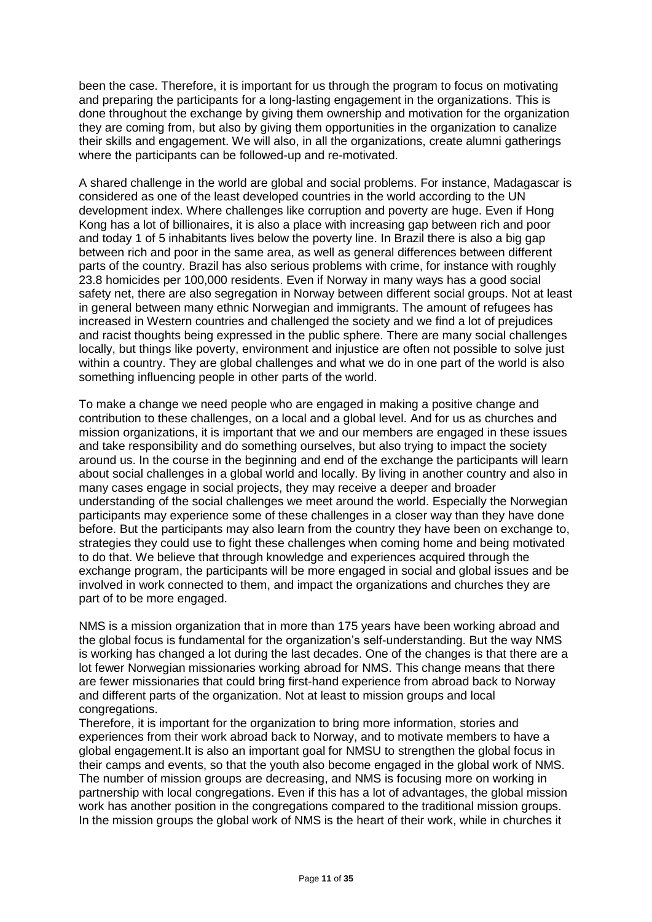been the case. Therefore, it is important for us through the program to focus on motivating and preparing the participants for a long-lasting engagement in the organizations. This is done throughout the exchange by giving them ownership and motivation for the organization they are coming from, but also by giving them opportunities in the organization to canalize their skills and engagement. We will also, in all the organizations, create alumni gatherings where the participants can be followed-up and re-motivated.

A shared challenge in the world are global and social problems. For instance, Madagascar is considered as one of the least developed countries in the world according to the UN development index. Where challenges like corruption and poverty are huge. Even if Hong Kong has a lot of billionaires, it is also a place with increasing gap between rich and poor and today 1 of 5 inhabitants lives below the poverty line. In Brazil there is also a big gap between rich and poor in the same area, as well as general differences between different parts of the country. Brazil has also serious problems with crime, for instance with roughly 23.8 homicides per 100,000 residents. Even if Norway in many ways has a good social safety net, there are also segregation in Norway between different social groups. Not at least in general between many ethnic Norwegian and immigrants. The amount of refugees has increased in Western countries and challenged the society and we find a lot of prejudices and racist thoughts being expressed in the public sphere. There are many social challenges locally, but things like poverty, environment and injustice are often not possible to solve just within a country. They are global challenges and what we do in one part of the world is also something influencing people in other parts of the world.

To make a change we need people who are engaged in making a positive change and contribution to these challenges, on a local and a global level. And for us as churches and mission organizations, it is important that we and our members are engaged in these issues and take responsibility and do something ourselves, but also trying to impact the society around us. In the course in the beginning and end of the exchange the participants will learn about social challenges in a global world and locally. By living in another country and also in many cases engage in social projects, they may receive a deeper and broader understanding of the social challenges we meet around the world. Especially the Norwegian participants may experience some of these challenges in a closer way than they have done before. But the participants may also learn from the country they have been on exchange to, strategies they could use to fight these challenges when coming home and being motivated to do that. We believe that through knowledge and experiences acquired through the exchange program, the participants will be more engaged in social and global issues and be involved in work connected to them, and impact the organizations and churches they are part of to be more engaged.

NMS is a mission organization that in more than 175 years have been working abroad and the global focus is fundamental for the organization's self-understanding. But the way NMS is working has changed a lot during the last decades. One of the changes is that there are a lot fewer Norwegian missionaries working abroad for NMS. This change means that there are fewer missionaries that could bring first-hand experience from abroad back to Norway and different parts of the organization. Not at least to mission groups and local congregations.

Therefore, it is important for the organization to bring more information, stories and experiences from their work abroad back to Norway, and to motivate members to have a global engagement.It is also an important goal for NMSU to strengthen the global focus in their camps and events, so that the youth also become engaged in the global work of NMS. The number of mission groups are decreasing, and NMS is focusing more on working in partnership with local congregations. Even if this has a lot of advantages, the global mission work has another position in the congregations compared to the traditional mission groups. In the mission groups the global work of NMS is the heart of their work, while in churches it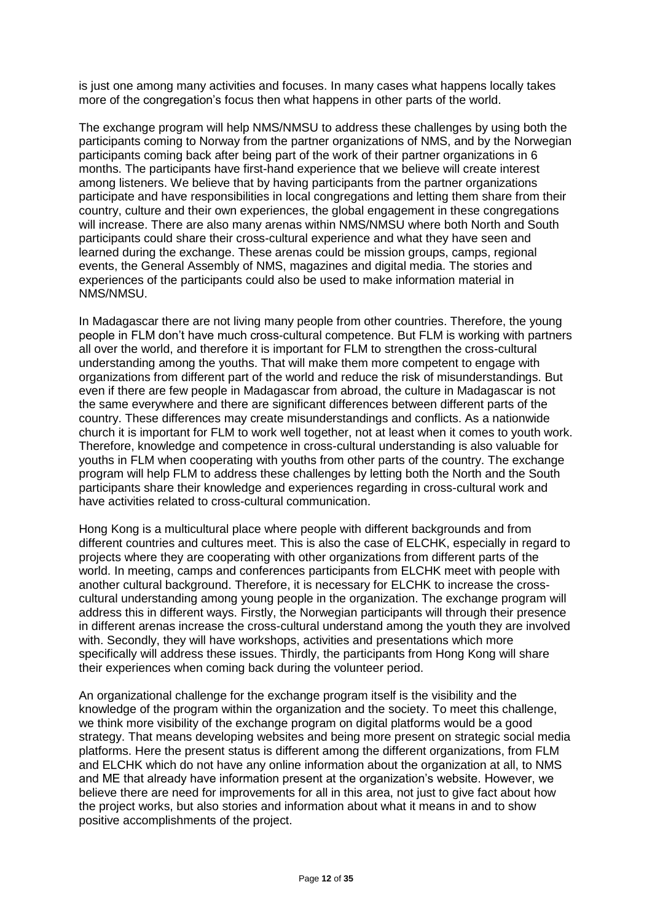is just one among many activities and focuses. In many cases what happens locally takes more of the congregation's focus then what happens in other parts of the world.

The exchange program will help NMS/NMSU to address these challenges by using both the participants coming to Norway from the partner organizations of NMS, and by the Norwegian participants coming back after being part of the work of their partner organizations in 6 months. The participants have first-hand experience that we believe will create interest among listeners. We believe that by having participants from the partner organizations participate and have responsibilities in local congregations and letting them share from their country, culture and their own experiences, the global engagement in these congregations will increase. There are also many arenas within NMS/NMSU where both North and South participants could share their cross-cultural experience and what they have seen and learned during the exchange. These arenas could be mission groups, camps, regional events, the General Assembly of NMS, magazines and digital media. The stories and experiences of the participants could also be used to make information material in NMS/NMSU.

In Madagascar there are not living many people from other countries. Therefore, the young people in FLM don't have much cross-cultural competence. But FLM is working with partners all over the world, and therefore it is important for FLM to strengthen the cross-cultural understanding among the youths. That will make them more competent to engage with organizations from different part of the world and reduce the risk of misunderstandings. But even if there are few people in Madagascar from abroad, the culture in Madagascar is not the same everywhere and there are significant differences between different parts of the country. These differences may create misunderstandings and conflicts. As a nationwide church it is important for FLM to work well together, not at least when it comes to youth work. Therefore, knowledge and competence in cross-cultural understanding is also valuable for youths in FLM when cooperating with youths from other parts of the country. The exchange program will help FLM to address these challenges by letting both the North and the South participants share their knowledge and experiences regarding in cross-cultural work and have activities related to cross-cultural communication.

Hong Kong is a multicultural place where people with different backgrounds and from different countries and cultures meet. This is also the case of ELCHK, especially in regard to projects where they are cooperating with other organizations from different parts of the world. In meeting, camps and conferences participants from ELCHK meet with people with another cultural background. Therefore, it is necessary for ELCHK to increase the crosscultural understanding among young people in the organization. The exchange program will address this in different ways. Firstly, the Norwegian participants will through their presence in different arenas increase the cross-cultural understand among the youth they are involved with. Secondly, they will have workshops, activities and presentations which more specifically will address these issues. Thirdly, the participants from Hong Kong will share their experiences when coming back during the volunteer period.

An organizational challenge for the exchange program itself is the visibility and the knowledge of the program within the organization and the society. To meet this challenge, we think more visibility of the exchange program on digital platforms would be a good strategy. That means developing websites and being more present on strategic social media platforms. Here the present status is different among the different organizations, from FLM and ELCHK which do not have any online information about the organization at all, to NMS and ME that already have information present at the organization's website. However, we believe there are need for improvements for all in this area, not just to give fact about how the project works, but also stories and information about what it means in and to show positive accomplishments of the project.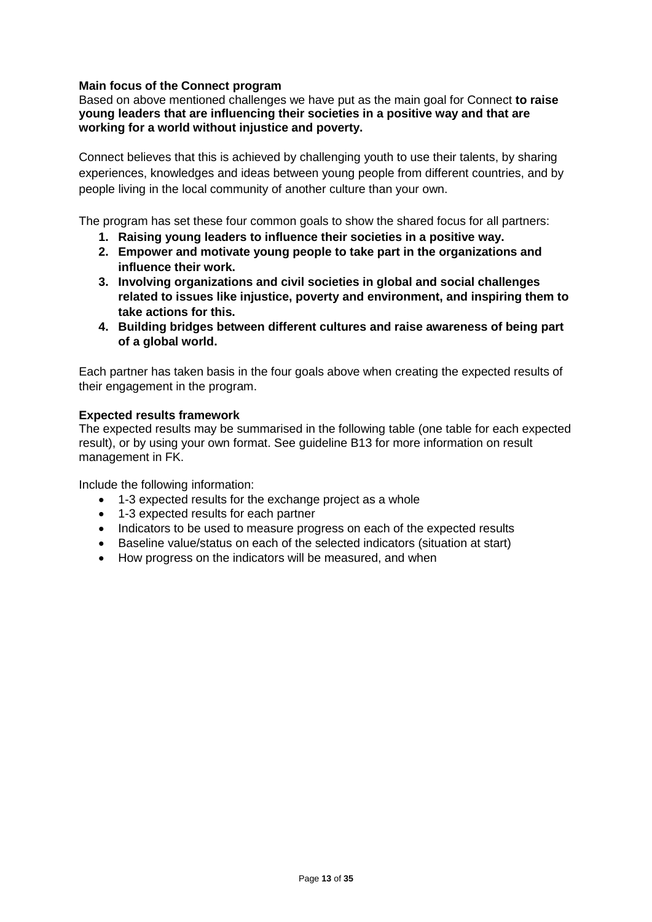### **Main focus of the Connect program**

Based on above mentioned challenges we have put as the main goal for Connect **to raise young leaders that are influencing their societies in a positive way and that are working for a world without injustice and poverty.**

Connect believes that this is achieved by challenging youth to use their talents, by sharing experiences, knowledges and ideas between young people from different countries, and by people living in the local community of another culture than your own.

The program has set these four common goals to show the shared focus for all partners:

- **1. Raising young leaders to influence their societies in a positive way.**
- **2. Empower and motivate young people to take part in the organizations and influence their work.**
- **3. Involving organizations and civil societies in global and social challenges related to issues like injustice, poverty and environment, and inspiring them to take actions for this.**
- **4. Building bridges between different cultures and raise awareness of being part of a global world.**

Each partner has taken basis in the four goals above when creating the expected results of their engagement in the program.

### **Expected results framework**

The expected results may be summarised in the following table (one table for each expected result), or by using your own format. See guideline B13 for more information on result management in FK.

Include the following information:

- 1-3 expected results for the exchange project as a whole
- 1-3 expected results for each partner
- Indicators to be used to measure progress on each of the expected results
- Baseline value/status on each of the selected indicators (situation at start)
- How progress on the indicators will be measured, and when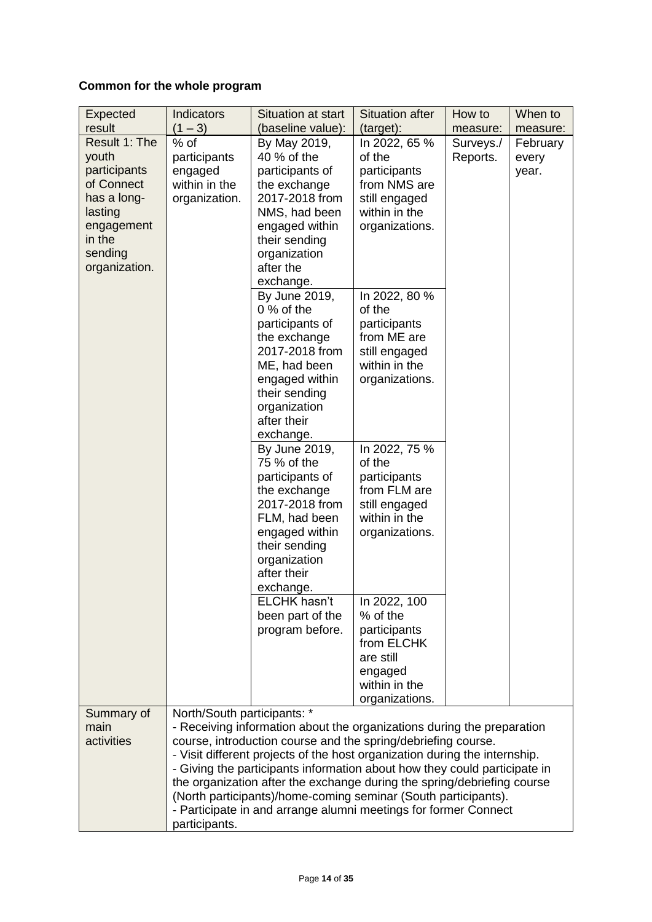# **Common for the whole program**

| Expected<br>result                                                                                                                 | <b>Indicators</b><br>$(1 - 3)$                                                                                                                                                                                                                                                                                                                                                                                                                                                                                                                                     | Situation at start<br>(baseline value):                                                                                                                                                       | <b>Situation after</b><br>(target):                                                                               | How to<br>measure:    | When to<br>measure:        |
|------------------------------------------------------------------------------------------------------------------------------------|--------------------------------------------------------------------------------------------------------------------------------------------------------------------------------------------------------------------------------------------------------------------------------------------------------------------------------------------------------------------------------------------------------------------------------------------------------------------------------------------------------------------------------------------------------------------|-----------------------------------------------------------------------------------------------------------------------------------------------------------------------------------------------|-------------------------------------------------------------------------------------------------------------------|-----------------------|----------------------------|
| Result 1: The<br>youth<br>participants<br>of Connect<br>has a long-<br>lasting<br>engagement<br>in the<br>sending<br>organization. | $%$ of<br>participants<br>engaged<br>within in the<br>organization.                                                                                                                                                                                                                                                                                                                                                                                                                                                                                                | By May 2019,<br>40 % of the<br>participants of<br>the exchange<br>2017-2018 from<br>NMS, had been<br>engaged within<br>their sending<br>organization<br>after the                             | In 2022, 65 %<br>of the<br>participants<br>from NMS are<br>still engaged<br>within in the<br>organizations.       | Surveys./<br>Reports. | February<br>every<br>year. |
|                                                                                                                                    |                                                                                                                                                                                                                                                                                                                                                                                                                                                                                                                                                                    | exchange.<br>By June 2019,<br>$0%$ of the<br>participants of<br>the exchange<br>2017-2018 from<br>ME, had been<br>engaged within<br>their sending<br>organization<br>after their<br>exchange. | In 2022, 80 %<br>of the<br>participants<br>from ME are<br>still engaged<br>within in the<br>organizations.        |                       |                            |
|                                                                                                                                    |                                                                                                                                                                                                                                                                                                                                                                                                                                                                                                                                                                    | By June 2019,<br>75 % of the<br>participants of<br>the exchange<br>2017-2018 from<br>FLM, had been<br>engaged within<br>their sending<br>organization<br>after their<br>exchange.             | In 2022, 75 %<br>of the<br>participants<br>from FLM are<br>still engaged<br>within in the<br>organizations.       |                       |                            |
|                                                                                                                                    |                                                                                                                                                                                                                                                                                                                                                                                                                                                                                                                                                                    | ELCHK hasn't<br>been part of the<br>program before.                                                                                                                                           | In 2022, 100<br>% of the<br>participants<br>from ELCHK<br>are still<br>engaged<br>within in the<br>organizations. |                       |                            |
| Summary of<br>main<br>activities                                                                                                   | North/South participants: *<br>- Receiving information about the organizations during the preparation<br>course, introduction course and the spring/debriefing course.<br>- Visit different projects of the host organization during the internship.<br>- Giving the participants information about how they could participate in<br>the organization after the exchange during the spring/debriefing course<br>(North participants)/home-coming seminar (South participants).<br>- Participate in and arrange alumni meetings for former Connect<br>participants. |                                                                                                                                                                                               |                                                                                                                   |                       |                            |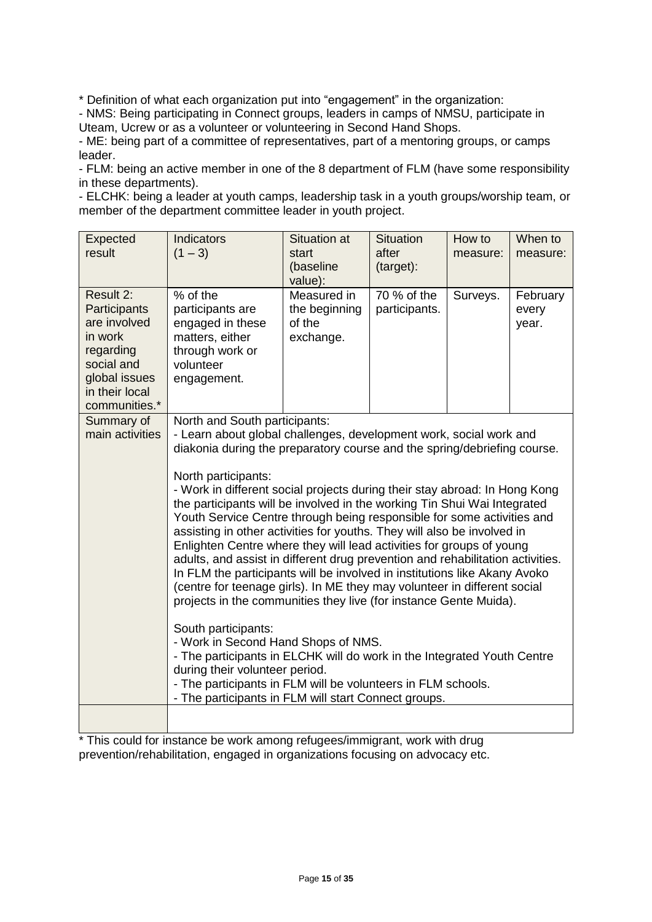\* Definition of what each organization put into "engagement" in the organization:

- NMS: Being participating in Connect groups, leaders in camps of NMSU, participate in Uteam, Ucrew or as a volunteer or volunteering in Second Hand Shops.

- ME: being part of a committee of representatives, part of a mentoring groups, or camps leader.

- FLM: being an active member in one of the 8 department of FLM (have some responsibility in these departments).

- ELCHK: being a leader at youth camps, leadership task in a youth groups/worship team, or member of the department committee leader in youth project.

| Expected<br>result                                                                                                                  | Indicators<br>$(1 - 3)$                                                                                                                                                                                                                                                                                                                                                                                                                                                                                                                                                                                                                                                                                                                                                                                                                                                                                                                                                                                                                                                                                                                                                                                          | <b>Situation at</b><br>start                        | <b>Situation</b><br>after    | How to   | When to                    |
|-------------------------------------------------------------------------------------------------------------------------------------|------------------------------------------------------------------------------------------------------------------------------------------------------------------------------------------------------------------------------------------------------------------------------------------------------------------------------------------------------------------------------------------------------------------------------------------------------------------------------------------------------------------------------------------------------------------------------------------------------------------------------------------------------------------------------------------------------------------------------------------------------------------------------------------------------------------------------------------------------------------------------------------------------------------------------------------------------------------------------------------------------------------------------------------------------------------------------------------------------------------------------------------------------------------------------------------------------------------|-----------------------------------------------------|------------------------------|----------|----------------------------|
|                                                                                                                                     |                                                                                                                                                                                                                                                                                                                                                                                                                                                                                                                                                                                                                                                                                                                                                                                                                                                                                                                                                                                                                                                                                                                                                                                                                  | (baseline<br>value):                                | (target):                    | measure: | measure:                   |
| Result 2:<br>Participants<br>are involved<br>in work<br>regarding<br>social and<br>global issues<br>in their local<br>communities.* | % of the<br>participants are<br>engaged in these<br>matters, either<br>through work or<br>volunteer<br>engagement.                                                                                                                                                                                                                                                                                                                                                                                                                                                                                                                                                                                                                                                                                                                                                                                                                                                                                                                                                                                                                                                                                               | Measured in<br>the beginning<br>of the<br>exchange. | 70 % of the<br>participants. | Surveys. | February<br>every<br>year. |
| Summary of<br>main activities                                                                                                       | North and South participants:<br>- Learn about global challenges, development work, social work and<br>diakonia during the preparatory course and the spring/debriefing course.<br>North participants:<br>- Work in different social projects during their stay abroad: In Hong Kong<br>the participants will be involved in the working Tin Shui Wai Integrated<br>Youth Service Centre through being responsible for some activities and<br>assisting in other activities for youths. They will also be involved in<br>Enlighten Centre where they will lead activities for groups of young<br>adults, and assist in different drug prevention and rehabilitation activities.<br>In FLM the participants will be involved in institutions like Akany Avoko<br>(centre for teenage girls). In ME they may volunteer in different social<br>projects in the communities they live (for instance Gente Muida).<br>South participants:<br>- Work in Second Hand Shops of NMS.<br>- The participants in ELCHK will do work in the Integrated Youth Centre<br>during their volunteer period.<br>- The participants in FLM will be volunteers in FLM schools.<br>- The participants in FLM will start Connect groups. |                                                     |                              |          |                            |
|                                                                                                                                     |                                                                                                                                                                                                                                                                                                                                                                                                                                                                                                                                                                                                                                                                                                                                                                                                                                                                                                                                                                                                                                                                                                                                                                                                                  |                                                     |                              |          |                            |

\* This could for instance be work among refugees/immigrant, work with drug prevention/rehabilitation, engaged in organizations focusing on advocacy etc.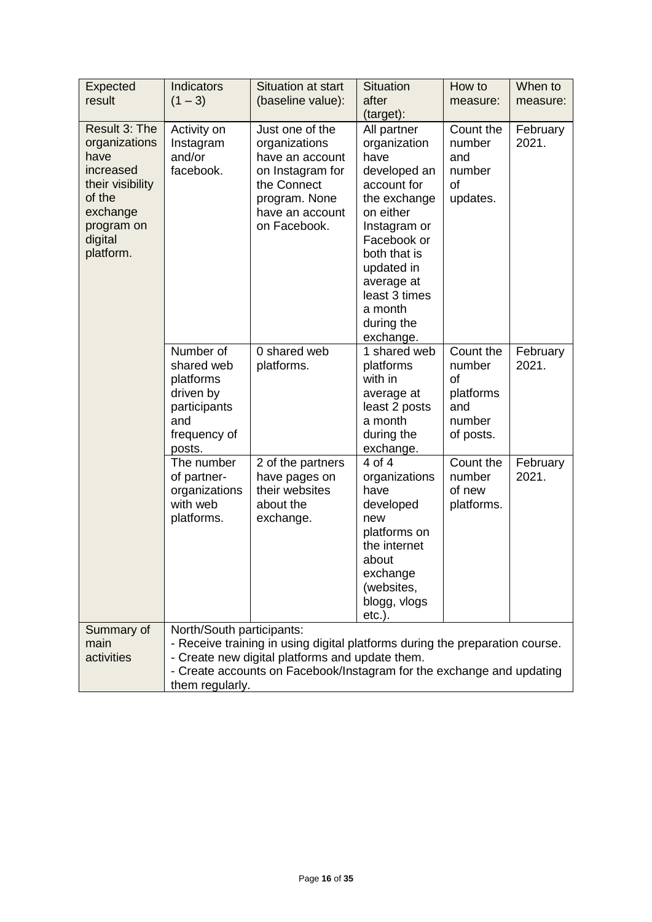| Expected                                                                                                                            | <b>Indicators</b>                                                                                  | Situation at start                                                                                                                                                                                       | <b>Situation</b>                                                                                                                                                                                                                               | How to                                                               | When to           |
|-------------------------------------------------------------------------------------------------------------------------------------|----------------------------------------------------------------------------------------------------|----------------------------------------------------------------------------------------------------------------------------------------------------------------------------------------------------------|------------------------------------------------------------------------------------------------------------------------------------------------------------------------------------------------------------------------------------------------|----------------------------------------------------------------------|-------------------|
| result                                                                                                                              | $(1 - 3)$                                                                                          | (baseline value):                                                                                                                                                                                        | after                                                                                                                                                                                                                                          | measure:                                                             | measure:          |
| Result 3: The<br>organizations<br>have<br>increased<br>their visibility<br>of the<br>exchange<br>program on<br>digital<br>platform. | Activity on<br>Instagram<br>and/or<br>facebook.                                                    | Just one of the<br>organizations<br>have an account<br>on Instagram for<br>the Connect<br>program. None<br>have an account<br>on Facebook.                                                               | (target):<br>All partner<br>organization<br>have<br>developed an<br>account for<br>the exchange<br>on either<br>Instagram or<br>Facebook or<br>both that is<br>updated in<br>average at<br>least 3 times<br>a month<br>during the<br>exchange. | Count the<br>number<br>and<br>number<br>of<br>updates.               | February<br>2021. |
|                                                                                                                                     | Number of<br>shared web<br>platforms<br>driven by<br>participants<br>and<br>frequency of<br>posts. | 0 shared web<br>platforms.                                                                                                                                                                               | 1 shared web<br>platforms<br>with in<br>average at<br>least 2 posts<br>a month<br>during the<br>exchange.                                                                                                                                      | Count the<br>number<br>of<br>platforms<br>and<br>number<br>of posts. | February<br>2021. |
|                                                                                                                                     | The number<br>of partner-<br>organizations<br>with web<br>platforms.                               | 2 of the partners<br>have pages on<br>their websites<br>about the<br>exchange.                                                                                                                           | 4 of 4<br>organizations<br>have<br>developed<br>new<br>platforms on<br>the internet<br>about<br>exchange<br>(websites,<br>blogg, vlogs<br>$etc.$ ).                                                                                            | Count the<br>number<br>of new<br>platforms.                          | February<br>2021. |
| Summary of<br>main<br>activities                                                                                                    | North/South participants:<br>them regularly.                                                       | - Receive training in using digital platforms during the preparation course.<br>- Create new digital platforms and update them.<br>- Create accounts on Facebook/Instagram for the exchange and updating |                                                                                                                                                                                                                                                |                                                                      |                   |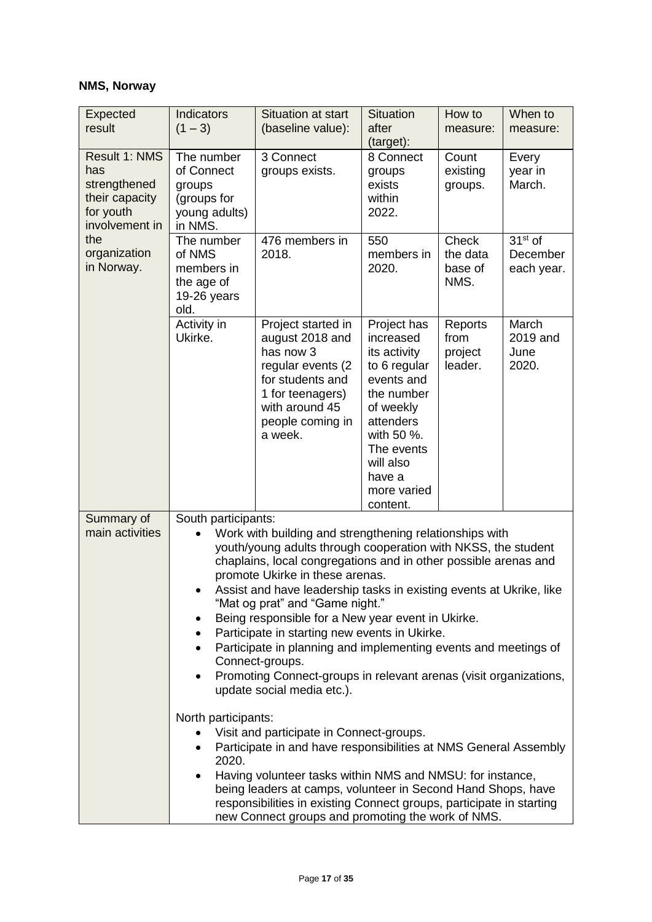# **NMS, Norway**

| Expected<br>result                                                                    | <b>Indicators</b><br>$(1 - 3)$                                                                                                                                                                                                                                                                                                                                                                                                                                                                                                                                                                                                                                                                                                                                                                                                                          | <b>Situation at start</b><br>(baseline value):                                                                                                                                                                                                         | <b>Situation</b><br>after<br>(target):                                                                                                                                                       | How to<br>measure:                    | When to<br>measure:                 |
|---------------------------------------------------------------------------------------|---------------------------------------------------------------------------------------------------------------------------------------------------------------------------------------------------------------------------------------------------------------------------------------------------------------------------------------------------------------------------------------------------------------------------------------------------------------------------------------------------------------------------------------------------------------------------------------------------------------------------------------------------------------------------------------------------------------------------------------------------------------------------------------------------------------------------------------------------------|--------------------------------------------------------------------------------------------------------------------------------------------------------------------------------------------------------------------------------------------------------|----------------------------------------------------------------------------------------------------------------------------------------------------------------------------------------------|---------------------------------------|-------------------------------------|
| Result 1: NMS<br>has<br>strengthened<br>their capacity<br>for youth<br>involvement in | The number<br>of Connect<br>groups<br>(groups for<br>young adults)<br>in NMS.                                                                                                                                                                                                                                                                                                                                                                                                                                                                                                                                                                                                                                                                                                                                                                           | 3 Connect<br>groups exists.                                                                                                                                                                                                                            | 8 Connect<br>groups<br>exists<br>within<br>2022.                                                                                                                                             | Count<br>existing<br>groups.          | Every<br>year in<br>March.          |
| the<br>organization<br>in Norway.                                                     | The number<br>of NMS<br>members in<br>the age of<br>19-26 years<br>old.                                                                                                                                                                                                                                                                                                                                                                                                                                                                                                                                                                                                                                                                                                                                                                                 | 476 members in<br>2018.                                                                                                                                                                                                                                | 550<br>members in<br>2020.                                                                                                                                                                   | Check<br>the data<br>base of<br>NMS.  | $31st$ of<br>December<br>each year. |
|                                                                                       | Activity in<br>Ukirke.                                                                                                                                                                                                                                                                                                                                                                                                                                                                                                                                                                                                                                                                                                                                                                                                                                  | Project started in<br>august 2018 and<br>has now 3<br>regular events (2<br>for students and<br>1 for teenagers)<br>with around 45<br>people coming in<br>a week.                                                                                       | Project has<br>increased<br>its activity<br>to 6 regular<br>events and<br>the number<br>of weekly<br>attenders<br>with 50 %.<br>The events<br>will also<br>have a<br>more varied<br>content. | Reports<br>from<br>project<br>leader. | March<br>2019 and<br>June<br>2020.  |
| Summary of<br>main activities                                                         | South participants:<br>Work with building and strengthening relationships with<br>youth/young adults through cooperation with NKSS, the student<br>chaplains, local congregations and in other possible arenas and<br>promote Ukirke in these arenas.<br>Assist and have leadership tasks in existing events at Ukrike, like<br>"Mat og prat" and "Game night."<br>Being responsible for a New year event in Ukirke.<br>٠<br>Participate in starting new events in Ukirke.<br>$\bullet$<br>Participate in planning and implementing events and meetings of<br>$\bullet$<br>Connect-groups.<br>Promoting Connect-groups in relevant arenas (visit organizations,<br>٠<br>update social media etc.).<br>North participants:<br>Visit and participate in Connect-groups.<br>Participate in and have responsibilities at NMS General Assembly<br>٠<br>2020. |                                                                                                                                                                                                                                                        |                                                                                                                                                                                              |                                       |                                     |
|                                                                                       | ٠                                                                                                                                                                                                                                                                                                                                                                                                                                                                                                                                                                                                                                                                                                                                                                                                                                                       | Having volunteer tasks within NMS and NMSU: for instance,<br>being leaders at camps, volunteer in Second Hand Shops, have<br>responsibilities in existing Connect groups, participate in starting<br>new Connect groups and promoting the work of NMS. |                                                                                                                                                                                              |                                       |                                     |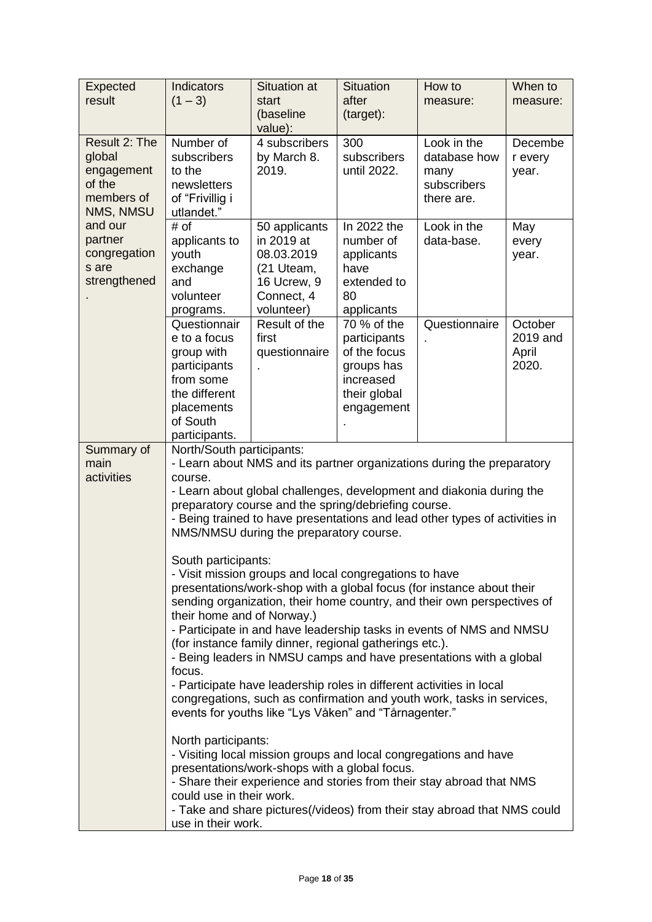| $(1 - 3)$                                                                                                                                                                                                                                                                                                                                                                                                                                                                                                                                                                                                                                                                                                                                             | start<br>(baseline                                                                   | after<br>(target):                                                                                                                                                               | measure:                                                                                               | When to<br>measure:                                                                                                                                                                                                                                                                                                                                                                    |
|-------------------------------------------------------------------------------------------------------------------------------------------------------------------------------------------------------------------------------------------------------------------------------------------------------------------------------------------------------------------------------------------------------------------------------------------------------------------------------------------------------------------------------------------------------------------------------------------------------------------------------------------------------------------------------------------------------------------------------------------------------|--------------------------------------------------------------------------------------|----------------------------------------------------------------------------------------------------------------------------------------------------------------------------------|--------------------------------------------------------------------------------------------------------|----------------------------------------------------------------------------------------------------------------------------------------------------------------------------------------------------------------------------------------------------------------------------------------------------------------------------------------------------------------------------------------|
| Number of<br>subscribers<br>to the<br>newsletters<br>of "Frivillig i                                                                                                                                                                                                                                                                                                                                                                                                                                                                                                                                                                                                                                                                                  | 4 subscribers<br>by March 8.<br>2019.                                                | 300<br>subscribers<br>until 2022.                                                                                                                                                | Look in the<br>database how<br>many<br>subscribers<br>there are.                                       | Decembe<br>r every<br>year.                                                                                                                                                                                                                                                                                                                                                            |
| # of<br>applicants to<br>youth<br>exchange<br>and<br>volunteer                                                                                                                                                                                                                                                                                                                                                                                                                                                                                                                                                                                                                                                                                        | 50 applicants<br>in 2019 at<br>08.03.2019<br>(21 Uteam,<br>16 Ucrew, 9<br>Connect, 4 | In 2022 the<br>number of<br>applicants<br>have<br>extended to<br>80                                                                                                              | Look in the<br>data-base.                                                                              | May<br>every<br>year.                                                                                                                                                                                                                                                                                                                                                                  |
| Questionnair<br>e to a focus<br>group with<br>participants<br>from some<br>the different<br>placements<br>of South<br>participants.                                                                                                                                                                                                                                                                                                                                                                                                                                                                                                                                                                                                                   | Result of the<br>first<br>questionnaire                                              | 70 % of the<br>participants<br>of the focus<br>groups has<br>increased<br>their global<br>engagement                                                                             | Questionnaire                                                                                          | October<br>2019 and<br>April<br>2020.                                                                                                                                                                                                                                                                                                                                                  |
| - Learn about NMS and its partner organizations during the preparatory<br>- Learn about global challenges, development and diakonia during the<br>- Being trained to have presentations and lead other types of activities in<br>presentations/work-shop with a global focus (for instance about their<br>sending organization, their home country, and their own perspectives of<br>- Participate in and have leadership tasks in events of NMS and NMSU<br>- Being leaders in NMSU camps and have presentations with a global<br>congregations, such as confirmation and youth work, tasks in services,<br>- Visiting local mission groups and local congregations and have<br>- Share their experience and stories from their stay abroad that NMS |                                                                                      |                                                                                                                                                                                  |                                                                                                        |                                                                                                                                                                                                                                                                                                                                                                                        |
|                                                                                                                                                                                                                                                                                                                                                                                                                                                                                                                                                                                                                                                                                                                                                       | utlandet."<br>programs.<br>course.<br>focus.                                         | value):<br>volunteer)<br>North/South participants:<br>South participants:<br>their home and of Norway.)<br>North participants:<br>could use in their work.<br>use in their work. | applicants<br>NMS/NMSU during the preparatory course.<br>presentations/work-shops with a global focus. | preparatory course and the spring/debriefing course.<br>- Visit mission groups and local congregations to have<br>(for instance family dinner, regional gatherings etc.).<br>- Participate have leadership roles in different activities in local<br>events for youths like "Lys Våken" and "Tårnagenter."<br>- Take and share pictures(/videos) from their stay abroad that NMS could |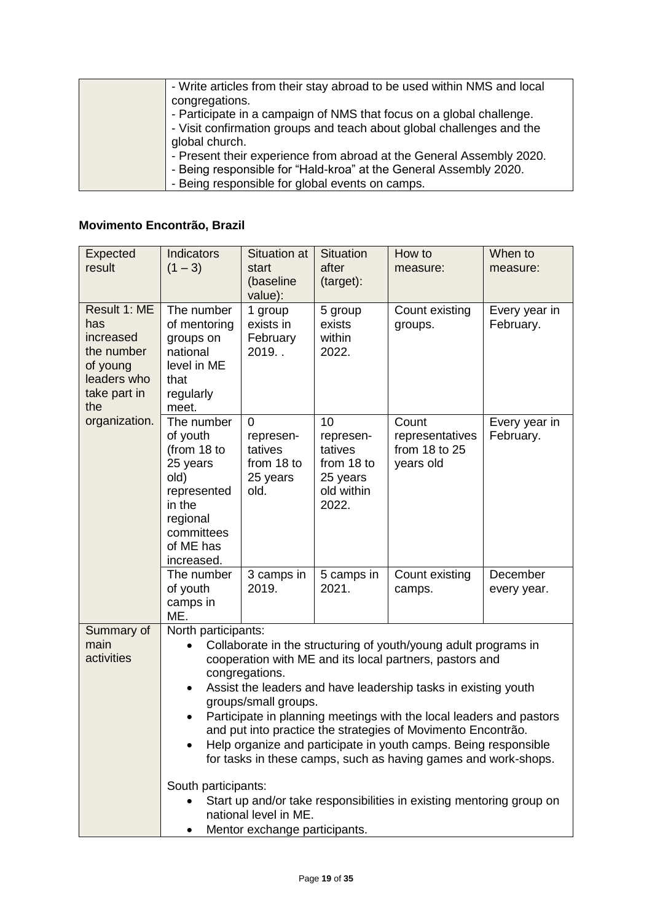| - Write articles from their stay abroad to be used within NMS and local |
|-------------------------------------------------------------------------|
| congregations.                                                          |
| - Participate in a campaign of NMS that focus on a global challenge.    |
| - Visit confirmation groups and teach about global challenges and the   |
| global church.                                                          |
| - Present their experience from abroad at the General Assembly 2020.    |
| - Being responsible for "Hald-kroa" at the General Assembly 2020.       |
| - Being responsible for global events on camps.                         |

# **Movimento Encontrão, Brazil**

| Expected<br>result                                                                               | Indicators<br>$(1 - 3)$                                                                                                                                                                                                                                                                                                                                                                                                                                                                                                                   | <b>Situation at</b><br>start<br>(baseline<br>value):               | <b>Situation</b><br>after<br>(target):                                      | How to<br>measure:                                                   | When to<br>measure:        |
|--------------------------------------------------------------------------------------------------|-------------------------------------------------------------------------------------------------------------------------------------------------------------------------------------------------------------------------------------------------------------------------------------------------------------------------------------------------------------------------------------------------------------------------------------------------------------------------------------------------------------------------------------------|--------------------------------------------------------------------|-----------------------------------------------------------------------------|----------------------------------------------------------------------|----------------------------|
| Result 1: ME<br>has<br>increased<br>the number<br>of young<br>leaders who<br>take part in<br>the | The number<br>of mentoring<br>groups on<br>national<br>level in ME<br>that<br>regularly<br>meet.                                                                                                                                                                                                                                                                                                                                                                                                                                          | 1 group<br>exists in<br>February<br>2019.                          | 5 group<br>exists<br>within<br>2022.                                        | Count existing<br>groups.                                            | Every year in<br>February. |
| organization.                                                                                    | The number<br>of youth<br>(from 18 to<br>25 years<br>old)<br>represented<br>in the<br>regional<br>committees<br>of ME has<br>increased.                                                                                                                                                                                                                                                                                                                                                                                                   | $\Omega$<br>represen-<br>tatives<br>from 18 to<br>25 years<br>old. | 10<br>represen-<br>tatives<br>from 18 to<br>25 years<br>old within<br>2022. | Count<br>representatives<br>from 18 to 25<br>years old               | Every year in<br>February. |
|                                                                                                  | The number<br>of youth<br>camps in<br>ME.                                                                                                                                                                                                                                                                                                                                                                                                                                                                                                 | 3 camps in<br>2019.                                                | 5 camps in<br>2021.                                                         | Count existing<br>camps.                                             | December<br>every year.    |
| Summary of<br>main<br>activities                                                                 | North participants:<br>Collaborate in the structuring of youth/young adult programs in<br>cooperation with ME and its local partners, pastors and<br>congregations.<br>Assist the leaders and have leadership tasks in existing youth<br>groups/small groups.<br>Participate in planning meetings with the local leaders and pastors<br>and put into practice the strategies of Movimento Encontrão.<br>Help organize and participate in youth camps. Being responsible<br>for tasks in these camps, such as having games and work-shops. |                                                                    |                                                                             |                                                                      |                            |
|                                                                                                  | South participants:                                                                                                                                                                                                                                                                                                                                                                                                                                                                                                                       | national level in ME.<br>Mentor exchange participants.             |                                                                             | Start up and/or take responsibilities in existing mentoring group on |                            |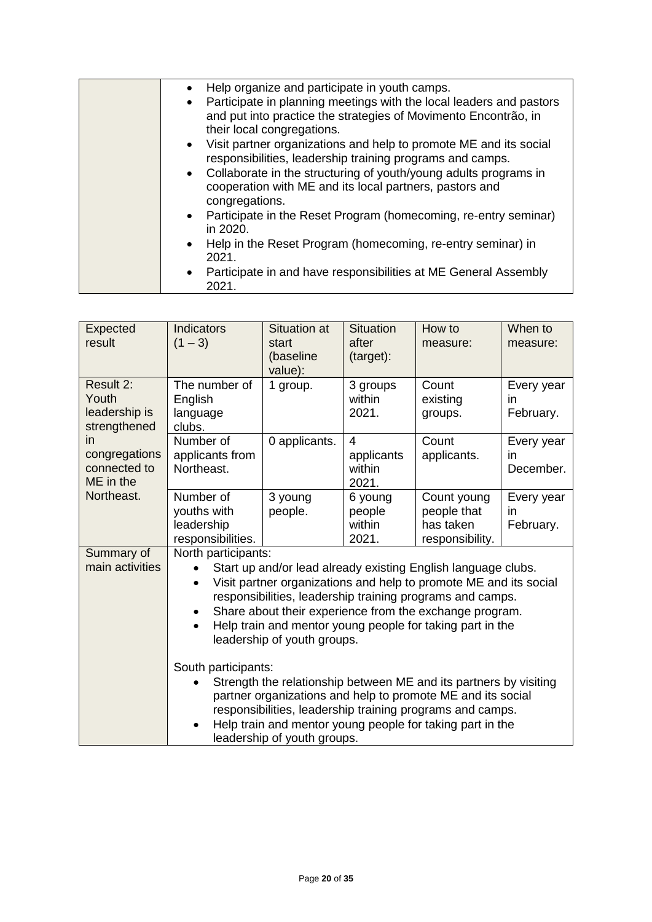| Help organize and participate in youth camps.<br>• Participate in planning meetings with the local leaders and pastors<br>and put into practice the strategies of Movimento Encontrão, in<br>their local congregations.<br>• Visit partner organizations and help to promote ME and its social<br>responsibilities, leadership training programs and camps.<br>• Collaborate in the structuring of youth/young adults programs in<br>cooperation with ME and its local partners, pastors and<br>congregations.<br>• Participate in the Reset Program (homecoming, re-entry seminar)<br>in 2020.<br>• Help in the Reset Program (homecoming, re-entry seminar) in<br>2021. |
|---------------------------------------------------------------------------------------------------------------------------------------------------------------------------------------------------------------------------------------------------------------------------------------------------------------------------------------------------------------------------------------------------------------------------------------------------------------------------------------------------------------------------------------------------------------------------------------------------------------------------------------------------------------------------|
| • Participate in and have responsibilities at ME General Assembly<br>2021.                                                                                                                                                                                                                                                                                                                                                                                                                                                                                                                                                                                                |

| Expected<br>result                                  | <b>Indicators</b><br>$(1 - 3)$                                                                                                                                                                                                                                                                                                                                                                               | <b>Situation at</b><br>start<br>(baseline<br>value): | <b>Situation</b><br>after<br>(target):          | How to<br>measure:                                         | When to<br>measure:           |
|-----------------------------------------------------|--------------------------------------------------------------------------------------------------------------------------------------------------------------------------------------------------------------------------------------------------------------------------------------------------------------------------------------------------------------------------------------------------------------|------------------------------------------------------|-------------------------------------------------|------------------------------------------------------------|-------------------------------|
| Result 2:<br>Youth<br>leadership is<br>strengthened | The number of<br>English<br>language<br>clubs.                                                                                                                                                                                                                                                                                                                                                               | 1 group.                                             | 3 groups<br>within<br>2021.                     | Count<br>existing<br>groups.                               | Every year<br>in<br>February. |
| in<br>congregations<br>connected to<br>ME in the    | Number of<br>applicants from<br>Northeast.                                                                                                                                                                                                                                                                                                                                                                   | 0 applicants.                                        | $\overline{4}$<br>applicants<br>within<br>2021. | Count<br>applicants.                                       | Every year<br>in<br>December. |
| Northeast.                                          | Number of<br>youths with<br>leadership<br>responsibilities.                                                                                                                                                                                                                                                                                                                                                  | 3 young<br>people.                                   | 6 young<br>people<br>within<br>2021.            | Count young<br>people that<br>has taken<br>responsibility. | Every year<br>in<br>February. |
| Summary of<br>main activities                       | North participants:<br>Start up and/or lead already existing English language clubs.<br>Visit partner organizations and help to promote ME and its social<br>$\bullet$<br>responsibilities, leadership training programs and camps.<br>Share about their experience from the exchange program.<br>٠<br>Help train and mentor young people for taking part in the<br>$\bullet$<br>leadership of youth groups. |                                                      |                                                 |                                                            |                               |
|                                                     | South participants:<br>Strength the relationship between ME and its partners by visiting<br>partner organizations and help to promote ME and its social<br>responsibilities, leadership training programs and camps.<br>Help train and mentor young people for taking part in the<br>leadership of youth groups.                                                                                             |                                                      |                                                 |                                                            |                               |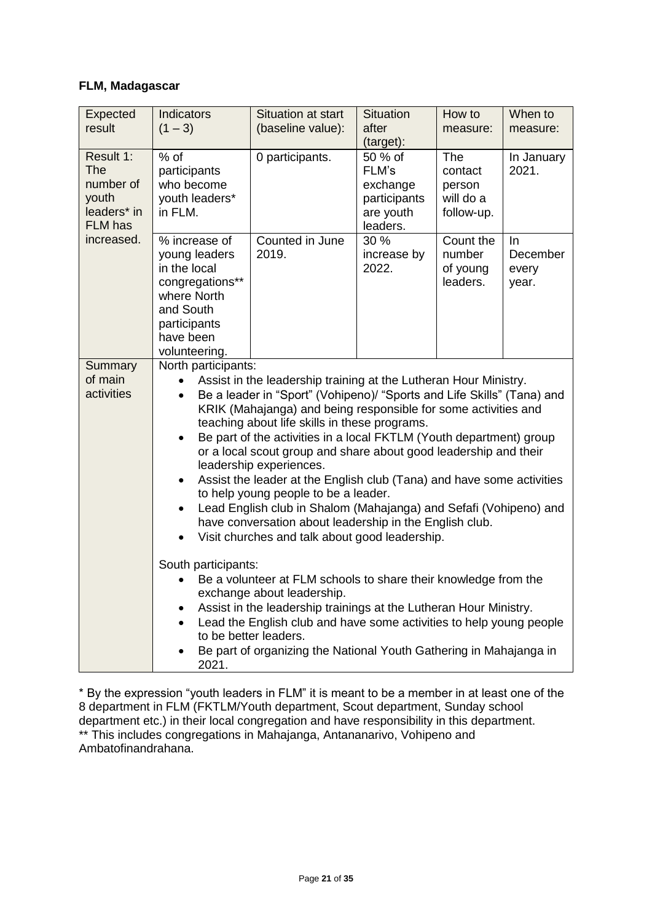### **FLM, Madagascar**

| 0 participants.<br>Counted in June<br>2019.                                                                                                                                                                                                                                                                                                                                                                                                                                                                                                                                                                                                                                                                                                                                                                                                                                                                                                                                                                                                                                                                                                                            | 50 % of<br>FLM's<br>exchange<br>participants<br>are youth<br>leaders.<br>30 %<br>increase by<br>2022. | The<br>contact<br>person<br>will do a<br>follow-up.<br>Count the<br>number | In January<br>2021.<br><u>In</u>                                   |  |  |
|------------------------------------------------------------------------------------------------------------------------------------------------------------------------------------------------------------------------------------------------------------------------------------------------------------------------------------------------------------------------------------------------------------------------------------------------------------------------------------------------------------------------------------------------------------------------------------------------------------------------------------------------------------------------------------------------------------------------------------------------------------------------------------------------------------------------------------------------------------------------------------------------------------------------------------------------------------------------------------------------------------------------------------------------------------------------------------------------------------------------------------------------------------------------|-------------------------------------------------------------------------------------------------------|----------------------------------------------------------------------------|--------------------------------------------------------------------|--|--|
|                                                                                                                                                                                                                                                                                                                                                                                                                                                                                                                                                                                                                                                                                                                                                                                                                                                                                                                                                                                                                                                                                                                                                                        |                                                                                                       |                                                                            |                                                                    |  |  |
|                                                                                                                                                                                                                                                                                                                                                                                                                                                                                                                                                                                                                                                                                                                                                                                                                                                                                                                                                                                                                                                                                                                                                                        |                                                                                                       | of young<br>leaders.                                                       | December<br>every<br>year.                                         |  |  |
| have been<br>volunteering.<br>North participants:<br>Assist in the leadership training at the Lutheran Hour Ministry.<br>$\bullet$<br>Be a leader in "Sport" (Vohipeno)/ "Sports and Life Skills" (Tana) and<br>$\bullet$<br>KRIK (Mahajanga) and being responsible for some activities and<br>teaching about life skills in these programs.<br>Be part of the activities in a local FKTLM (Youth department) group<br>$\bullet$<br>or a local scout group and share about good leadership and their<br>leadership experiences.<br>Assist the leader at the English club (Tana) and have some activities<br>$\bullet$<br>to help young people to be a leader.<br>Lead English club in Shalom (Mahajanga) and Sefafi (Vohipeno) and<br>have conversation about leadership in the English club.<br>Visit churches and talk about good leadership.<br>$\bullet$<br>South participants:<br>Be a volunteer at FLM schools to share their knowledge from the<br>exchange about leadership.<br>Assist in the leadership trainings at the Lutheran Hour Ministry.<br>$\bullet$<br>Lead the English club and have some activities to help young people<br>to be better leaders. |                                                                                                       |                                                                            |                                                                    |  |  |
|                                                                                                                                                                                                                                                                                                                                                                                                                                                                                                                                                                                                                                                                                                                                                                                                                                                                                                                                                                                                                                                                                                                                                                        |                                                                                                       |                                                                            | Be part of organizing the National Youth Gathering in Mahajanga in |  |  |

\* By the expression "youth leaders in FLM" it is meant to be a member in at least one of the 8 department in FLM (FKTLM/Youth department, Scout department, Sunday school department etc.) in their local congregation and have responsibility in this department. \*\* This includes congregations in Mahajanga, Antananarivo, Vohipeno and Ambatofinandrahana.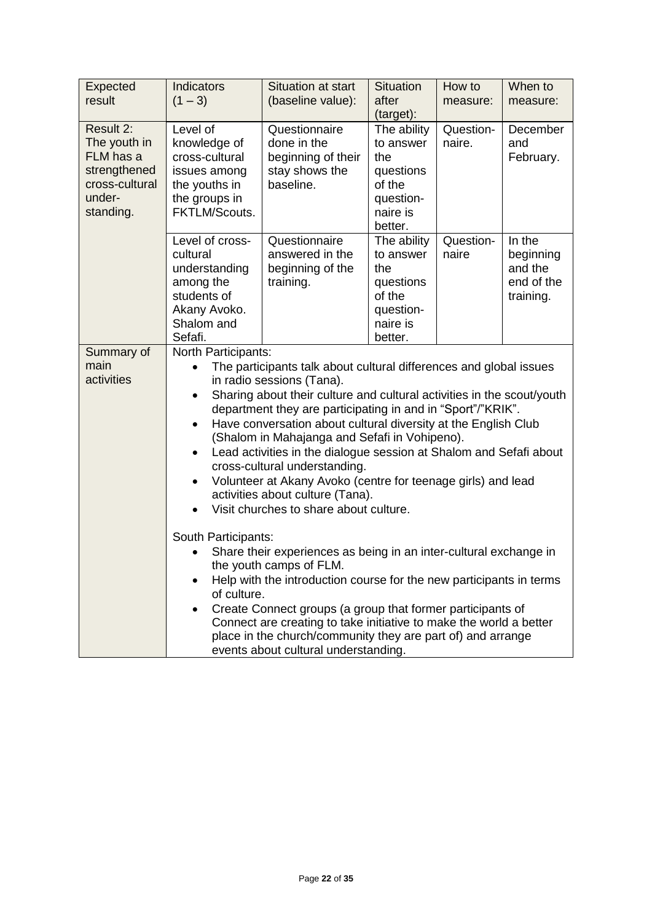| Expected<br>result                                                                              | Indicators<br>$(1 - 3)$                                                                                                                                                                                                                                                                                                                                                                                                                                                                                                                                                                                                                                                                                  | Situation at start<br>(baseline value):                                           | <b>Situation</b><br>after<br>(target):                                                     | How to<br>measure:  | When to<br>measure:                                       |  |
|-------------------------------------------------------------------------------------------------|----------------------------------------------------------------------------------------------------------------------------------------------------------------------------------------------------------------------------------------------------------------------------------------------------------------------------------------------------------------------------------------------------------------------------------------------------------------------------------------------------------------------------------------------------------------------------------------------------------------------------------------------------------------------------------------------------------|-----------------------------------------------------------------------------------|--------------------------------------------------------------------------------------------|---------------------|-----------------------------------------------------------|--|
| Result 2:<br>The youth in<br>FLM has a<br>strengthened<br>cross-cultural<br>under-<br>standing. | Level of<br>knowledge of<br>cross-cultural<br>issues among<br>the youths in<br>the groups in<br>FKTLM/Scouts.                                                                                                                                                                                                                                                                                                                                                                                                                                                                                                                                                                                            | Questionnaire<br>done in the<br>beginning of their<br>stay shows the<br>baseline. | The ability<br>to answer<br>the<br>questions<br>of the<br>question-<br>naire is<br>better. | Question-<br>naire. | December<br>and<br>February.                              |  |
|                                                                                                 | Level of cross-<br>cultural<br>understanding<br>among the<br>students of<br>Akany Avoko.<br>Shalom and<br>Sefafi.                                                                                                                                                                                                                                                                                                                                                                                                                                                                                                                                                                                        | Questionnaire<br>answered in the<br>beginning of the<br>training.                 | The ability<br>to answer<br>the<br>questions<br>of the<br>question-<br>naire is<br>better. | Question-<br>naire  | In the<br>beginning<br>and the<br>end of the<br>training. |  |
| Summary of<br>main<br>activities                                                                | North Participants:<br>The participants talk about cultural differences and global issues<br>$\bullet$<br>in radio sessions (Tana).<br>Sharing about their culture and cultural activities in the scout/youth<br>$\bullet$<br>department they are participating in and in "Sport"/"KRIK".<br>Have conversation about cultural diversity at the English Club<br>$\bullet$<br>(Shalom in Mahajanga and Sefafi in Vohipeno).<br>Lead activities in the dialogue session at Shalom and Sefafi about<br>$\bullet$<br>cross-cultural understanding.<br>Volunteer at Akany Avoko (centre for teenage girls) and lead<br>$\bullet$<br>activities about culture (Tana).<br>Visit churches to share about culture. |                                                                                   |                                                                                            |                     |                                                           |  |
|                                                                                                 | South Participants:<br>Share their experiences as being in an inter-cultural exchange in<br>the youth camps of FLM.<br>Help with the introduction course for the new participants in terms<br>of culture.<br>Create Connect groups (a group that former participants of<br>Connect are creating to take initiative to make the world a better<br>place in the church/community they are part of) and arrange<br>events about cultural understanding.                                                                                                                                                                                                                                                     |                                                                                   |                                                                                            |                     |                                                           |  |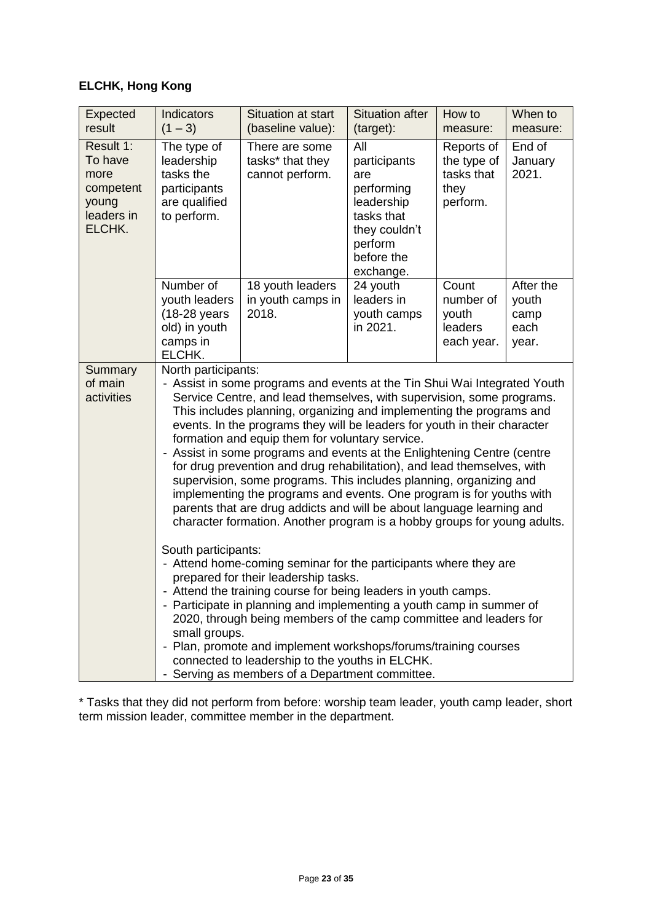# **ELCHK, Hong Kong**

| <b>Expected</b><br>result                                                  | <b>Indicators</b><br>$(1 - 3)$                                                                                                                                                                                                                                                                                                                                                                                                                                                                                                                                                                                                                                                                                                                                                                                                                                                                                                                                                                                                                                                                                                                                                                                                                                                                                                      | <b>Situation at start</b><br>(baseline value):        | <b>Situation after</b><br>(target):                                                                                         | How to<br>measure:                                          | When to<br>measure:                         |  |
|----------------------------------------------------------------------------|-------------------------------------------------------------------------------------------------------------------------------------------------------------------------------------------------------------------------------------------------------------------------------------------------------------------------------------------------------------------------------------------------------------------------------------------------------------------------------------------------------------------------------------------------------------------------------------------------------------------------------------------------------------------------------------------------------------------------------------------------------------------------------------------------------------------------------------------------------------------------------------------------------------------------------------------------------------------------------------------------------------------------------------------------------------------------------------------------------------------------------------------------------------------------------------------------------------------------------------------------------------------------------------------------------------------------------------|-------------------------------------------------------|-----------------------------------------------------------------------------------------------------------------------------|-------------------------------------------------------------|---------------------------------------------|--|
| Result 1:<br>To have<br>more<br>competent<br>young<br>leaders in<br>ELCHK. | The type of<br>leadership<br>tasks the<br>participants<br>are qualified<br>to perform.                                                                                                                                                                                                                                                                                                                                                                                                                                                                                                                                                                                                                                                                                                                                                                                                                                                                                                                                                                                                                                                                                                                                                                                                                                              | There are some<br>tasks* that they<br>cannot perform. | All<br>participants<br>are<br>performing<br>leadership<br>tasks that<br>they couldn't<br>perform<br>before the<br>exchange. | Reports of<br>the type of<br>tasks that<br>they<br>perform. | End of<br>January<br>2021.                  |  |
|                                                                            | Number of<br>youth leaders<br>(18-28 years<br>old) in youth<br>camps in<br>ELCHK.                                                                                                                                                                                                                                                                                                                                                                                                                                                                                                                                                                                                                                                                                                                                                                                                                                                                                                                                                                                                                                                                                                                                                                                                                                                   | 18 youth leaders<br>in youth camps in<br>2018.        | 24 youth<br>leaders in<br>youth camps<br>in 2021.                                                                           | Count<br>number of<br>youth<br>leaders<br>each year.        | After the<br>youth<br>camp<br>each<br>year. |  |
| Summary<br>of main<br>activities                                           | North participants:<br>- Assist in some programs and events at the Tin Shui Wai Integrated Youth<br>Service Centre, and lead themselves, with supervision, some programs.<br>This includes planning, organizing and implementing the programs and<br>events. In the programs they will be leaders for youth in their character<br>formation and equip them for voluntary service.<br>- Assist in some programs and events at the Enlightening Centre (centre<br>for drug prevention and drug rehabilitation), and lead themselves, with<br>supervision, some programs. This includes planning, organizing and<br>implementing the programs and events. One program is for youths with<br>parents that are drug addicts and will be about language learning and<br>character formation. Another program is a hobby groups for young adults.<br>South participants:<br>- Attend home-coming seminar for the participants where they are<br>prepared for their leadership tasks.<br>- Attend the training course for being leaders in youth camps.<br>- Participate in planning and implementing a youth camp in summer of<br>2020, through being members of the camp committee and leaders for<br>small groups.<br>- Plan, promote and implement workshops/forums/training courses<br>connected to leadership to the youths in ELCHK. |                                                       |                                                                                                                             |                                                             |                                             |  |

\* Tasks that they did not perform from before: worship team leader, youth camp leader, short term mission leader, committee member in the department.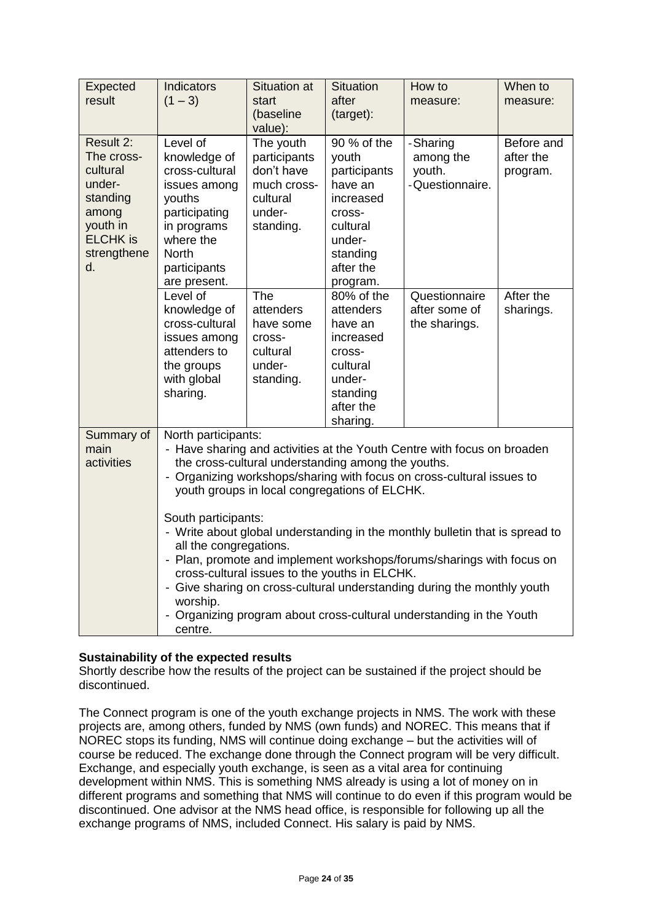| Expected<br>result                                                                                                     | Indicators<br>$(1 - 3)$                                                                                                                                                                                                                                                                                                                                                                                                                                                                                                                                                                                                                                                                                             | <b>Situation at</b><br>start<br>(baseline<br>value):                                      | <b>Situation</b><br>after<br>(target):                                                                                            | How to<br>measure:                                 | When to<br>measure:                 |  |
|------------------------------------------------------------------------------------------------------------------------|---------------------------------------------------------------------------------------------------------------------------------------------------------------------------------------------------------------------------------------------------------------------------------------------------------------------------------------------------------------------------------------------------------------------------------------------------------------------------------------------------------------------------------------------------------------------------------------------------------------------------------------------------------------------------------------------------------------------|-------------------------------------------------------------------------------------------|-----------------------------------------------------------------------------------------------------------------------------------|----------------------------------------------------|-------------------------------------|--|
| Result 2:<br>The cross-<br>cultural<br>under-<br>standing<br>among<br>youth in<br><b>ELCHK</b> is<br>strengthene<br>d. | Level of<br>knowledge of<br>cross-cultural<br>issues among<br>youths<br>participating<br>in programs<br>where the<br><b>North</b><br>participants<br>are present.                                                                                                                                                                                                                                                                                                                                                                                                                                                                                                                                                   | The youth<br>participants<br>don't have<br>much cross-<br>cultural<br>under-<br>standing. | 90 % of the<br>youth<br>participants<br>have an<br>increased<br>cross-<br>cultural<br>under-<br>standing<br>after the<br>program. | -Sharing<br>among the<br>youth.<br>-Questionnaire. | Before and<br>after the<br>program. |  |
|                                                                                                                        | Level of<br>knowledge of<br>cross-cultural<br>issues among<br>attenders to<br>the groups<br>with global<br>sharing.                                                                                                                                                                                                                                                                                                                                                                                                                                                                                                                                                                                                 | The<br>attenders<br>have some<br>cross-<br>cultural<br>under-<br>standing.                | 80% of the<br>attenders<br>have an<br>increased<br>cross-<br>cultural<br>under-<br>standing<br>after the<br>sharing.              | Questionnaire<br>after some of<br>the sharings.    | After the<br>sharings.              |  |
| Summary of<br>main<br>activities                                                                                       | North participants:<br>- Have sharing and activities at the Youth Centre with focus on broaden<br>the cross-cultural understanding among the youths.<br>- Organizing workshops/sharing with focus on cross-cultural issues to<br>youth groups in local congregations of ELCHK.<br>South participants:<br>- Write about global understanding in the monthly bulletin that is spread to<br>all the congregations.<br>- Plan, promote and implement workshops/forums/sharings with focus on<br>cross-cultural issues to the youths in ELCHK.<br>- Give sharing on cross-cultural understanding during the monthly youth<br>worship.<br>- Organizing program about cross-cultural understanding in the Youth<br>centre. |                                                                                           |                                                                                                                                   |                                                    |                                     |  |

### **Sustainability of the expected results**

Shortly describe how the results of the project can be sustained if the project should be discontinued.

The Connect program is one of the youth exchange projects in NMS. The work with these projects are, among others, funded by NMS (own funds) and NOREC. This means that if NOREC stops its funding, NMS will continue doing exchange – but the activities will of course be reduced. The exchange done through the Connect program will be very difficult. Exchange, and especially youth exchange, is seen as a vital area for continuing development within NMS. This is something NMS already is using a lot of money on in different programs and something that NMS will continue to do even if this program would be discontinued. One advisor at the NMS head office, is responsible for following up all the exchange programs of NMS, included Connect. His salary is paid by NMS.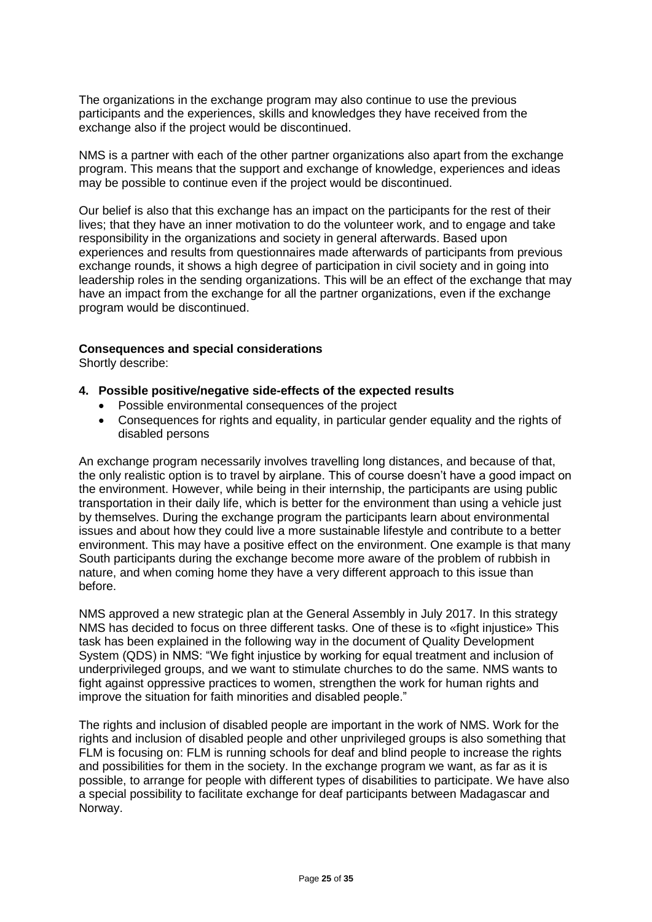The organizations in the exchange program may also continue to use the previous participants and the experiences, skills and knowledges they have received from the exchange also if the project would be discontinued.

NMS is a partner with each of the other partner organizations also apart from the exchange program. This means that the support and exchange of knowledge, experiences and ideas may be possible to continue even if the project would be discontinued.

Our belief is also that this exchange has an impact on the participants for the rest of their lives; that they have an inner motivation to do the volunteer work, and to engage and take responsibility in the organizations and society in general afterwards. Based upon experiences and results from questionnaires made afterwards of participants from previous exchange rounds, it shows a high degree of participation in civil society and in going into leadership roles in the sending organizations. This will be an effect of the exchange that may have an impact from the exchange for all the partner organizations, even if the exchange program would be discontinued.

### **Consequences and special considerations**

Shortly describe:

### **4. Possible positive/negative side-effects of the expected results**

- Possible environmental consequences of the project
- Consequences for rights and equality, in particular gender equality and the rights of disabled persons

An exchange program necessarily involves travelling long distances, and because of that, the only realistic option is to travel by airplane. This of course doesn't have a good impact on the environment. However, while being in their internship, the participants are using public transportation in their daily life, which is better for the environment than using a vehicle just by themselves. During the exchange program the participants learn about environmental issues and about how they could live a more sustainable lifestyle and contribute to a better environment. This may have a positive effect on the environment. One example is that many South participants during the exchange become more aware of the problem of rubbish in nature, and when coming home they have a very different approach to this issue than before.

NMS approved a new strategic plan at the General Assembly in July 2017. In this strategy NMS has decided to focus on three different tasks. One of these is to «fight injustice» This task has been explained in the following way in the document of Quality Development System (QDS) in NMS: "We fight injustice by working for equal treatment and inclusion of underprivileged groups, and we want to stimulate churches to do the same. NMS wants to fight against oppressive practices to women, strengthen the work for human rights and improve the situation for faith minorities and disabled people."

The rights and inclusion of disabled people are important in the work of NMS. Work for the rights and inclusion of disabled people and other unprivileged groups is also something that FLM is focusing on: FLM is running schools for deaf and blind people to increase the rights and possibilities for them in the society. In the exchange program we want, as far as it is possible, to arrange for people with different types of disabilities to participate. We have also a special possibility to facilitate exchange for deaf participants between Madagascar and Norway.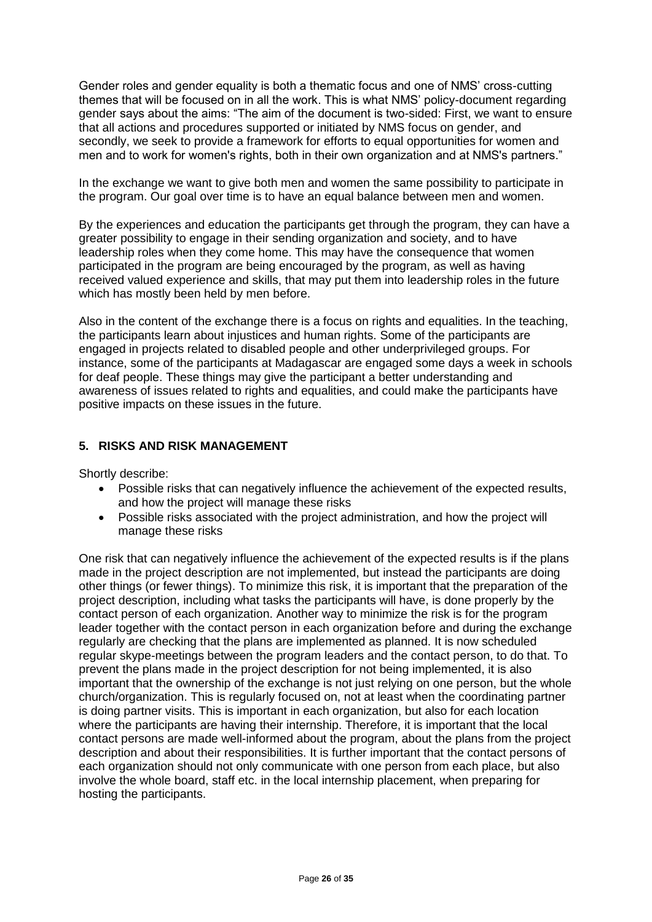Gender roles and gender equality is both a thematic focus and one of NMS' cross-cutting themes that will be focused on in all the work. This is what NMS' policy-document regarding gender says about the aims: "The aim of the document is two-sided: First, we want to ensure that all actions and procedures supported or initiated by NMS focus on gender, and secondly, we seek to provide a framework for efforts to equal opportunities for women and men and to work for women's rights, both in their own organization and at NMS's partners."

In the exchange we want to give both men and women the same possibility to participate in the program. Our goal over time is to have an equal balance between men and women.

By the experiences and education the participants get through the program, they can have a greater possibility to engage in their sending organization and society, and to have leadership roles when they come home. This may have the consequence that women participated in the program are being encouraged by the program, as well as having received valued experience and skills, that may put them into leadership roles in the future which has mostly been held by men before.

Also in the content of the exchange there is a focus on rights and equalities. In the teaching, the participants learn about injustices and human rights. Some of the participants are engaged in projects related to disabled people and other underprivileged groups. For instance, some of the participants at Madagascar are engaged some days a week in schools for deaf people. These things may give the participant a better understanding and awareness of issues related to rights and equalities, and could make the participants have positive impacts on these issues in the future.

### **5. RISKS AND RISK MANAGEMENT**

Shortly describe:

- Possible risks that can negatively influence the achievement of the expected results, and how the project will manage these risks
- Possible risks associated with the project administration, and how the project will manage these risks

One risk that can negatively influence the achievement of the expected results is if the plans made in the project description are not implemented, but instead the participants are doing other things (or fewer things). To minimize this risk, it is important that the preparation of the project description, including what tasks the participants will have, is done properly by the contact person of each organization. Another way to minimize the risk is for the program leader together with the contact person in each organization before and during the exchange regularly are checking that the plans are implemented as planned. It is now scheduled regular skype-meetings between the program leaders and the contact person, to do that. To prevent the plans made in the project description for not being implemented, it is also important that the ownership of the exchange is not just relying on one person, but the whole church/organization. This is regularly focused on, not at least when the coordinating partner is doing partner visits. This is important in each organization, but also for each location where the participants are having their internship. Therefore, it is important that the local contact persons are made well-informed about the program, about the plans from the project description and about their responsibilities. It is further important that the contact persons of each organization should not only communicate with one person from each place, but also involve the whole board, staff etc. in the local internship placement, when preparing for hosting the participants.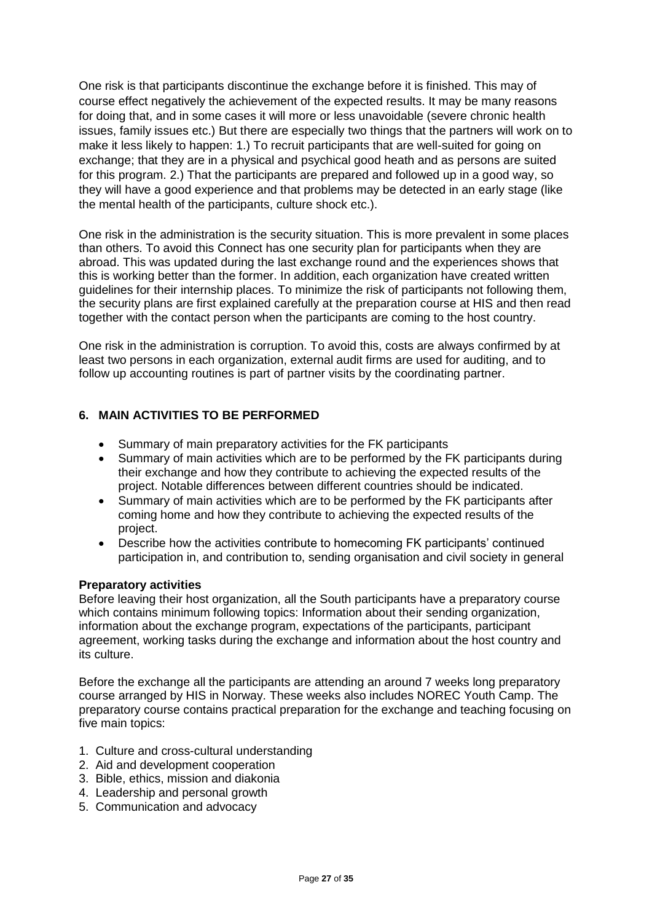One risk is that participants discontinue the exchange before it is finished. This may of course effect negatively the achievement of the expected results. It may be many reasons for doing that, and in some cases it will more or less unavoidable (severe chronic health issues, family issues etc.) But there are especially two things that the partners will work on to make it less likely to happen: 1.) To recruit participants that are well-suited for going on exchange; that they are in a physical and psychical good heath and as persons are suited for this program. 2.) That the participants are prepared and followed up in a good way, so they will have a good experience and that problems may be detected in an early stage (like the mental health of the participants, culture shock etc.).

One risk in the administration is the security situation. This is more prevalent in some places than others. To avoid this Connect has one security plan for participants when they are abroad. This was updated during the last exchange round and the experiences shows that this is working better than the former. In addition, each organization have created written guidelines for their internship places. To minimize the risk of participants not following them, the security plans are first explained carefully at the preparation course at HIS and then read together with the contact person when the participants are coming to the host country.

One risk in the administration is corruption. To avoid this, costs are always confirmed by at least two persons in each organization, external audit firms are used for auditing, and to follow up accounting routines is part of partner visits by the coordinating partner.

### **6. MAIN ACTIVITIES TO BE PERFORMED**

- Summary of main preparatory activities for the FK participants
- Summary of main activities which are to be performed by the FK participants during their exchange and how they contribute to achieving the expected results of the project. Notable differences between different countries should be indicated.
- Summary of main activities which are to be performed by the FK participants after coming home and how they contribute to achieving the expected results of the project.
- Describe how the activities contribute to homecoming FK participants' continued participation in, and contribution to, sending organisation and civil society in general

#### **Preparatory activities**

Before leaving their host organization, all the South participants have a preparatory course which contains minimum following topics: Information about their sending organization, information about the exchange program, expectations of the participants, participant agreement, working tasks during the exchange and information about the host country and its culture.

Before the exchange all the participants are attending an around 7 weeks long preparatory course arranged by HIS in Norway. These weeks also includes NOREC Youth Camp. The preparatory course contains practical preparation for the exchange and teaching focusing on five main topics:

- 1. Culture and cross-cultural understanding
- 2. Aid and development cooperation
- 3. Bible, ethics, mission and diakonia
- 4. Leadership and personal growth
- 5. Communication and advocacy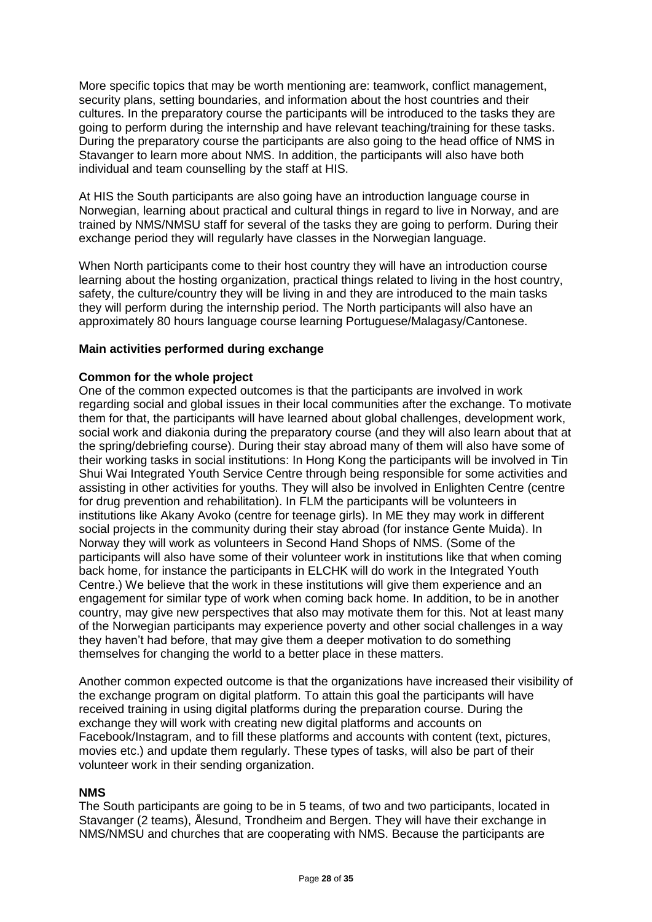More specific topics that may be worth mentioning are: teamwork, conflict management, security plans, setting boundaries, and information about the host countries and their cultures. In the preparatory course the participants will be introduced to the tasks they are going to perform during the internship and have relevant teaching/training for these tasks. During the preparatory course the participants are also going to the head office of NMS in Stavanger to learn more about NMS. In addition, the participants will also have both individual and team counselling by the staff at HIS.

At HIS the South participants are also going have an introduction language course in Norwegian, learning about practical and cultural things in regard to live in Norway, and are trained by NMS/NMSU staff for several of the tasks they are going to perform. During their exchange period they will regularly have classes in the Norwegian language.

When North participants come to their host country they will have an introduction course learning about the hosting organization, practical things related to living in the host country, safety, the culture/country they will be living in and they are introduced to the main tasks they will perform during the internship period. The North participants will also have an approximately 80 hours language course learning Portuguese/Malagasy/Cantonese.

### **Main activities performed during exchange**

### **Common for the whole project**

One of the common expected outcomes is that the participants are involved in work regarding social and global issues in their local communities after the exchange. To motivate them for that, the participants will have learned about global challenges, development work, social work and diakonia during the preparatory course (and they will also learn about that at the spring/debriefing course). During their stay abroad many of them will also have some of their working tasks in social institutions: In Hong Kong the participants will be involved in Tin Shui Wai Integrated Youth Service Centre through being responsible for some activities and assisting in other activities for youths. They will also be involved in Enlighten Centre (centre for drug prevention and rehabilitation). In FLM the participants will be volunteers in institutions like Akany Avoko (centre for teenage girls). In ME they may work in different social projects in the community during their stay abroad (for instance Gente Muida). In Norway they will work as volunteers in Second Hand Shops of NMS. (Some of the participants will also have some of their volunteer work in institutions like that when coming back home, for instance the participants in ELCHK will do work in the Integrated Youth Centre.) We believe that the work in these institutions will give them experience and an engagement for similar type of work when coming back home. In addition, to be in another country, may give new perspectives that also may motivate them for this. Not at least many of the Norwegian participants may experience poverty and other social challenges in a way they haven't had before, that may give them a deeper motivation to do something themselves for changing the world to a better place in these matters.

Another common expected outcome is that the organizations have increased their visibility of the exchange program on digital platform. To attain this goal the participants will have received training in using digital platforms during the preparation course. During the exchange they will work with creating new digital platforms and accounts on Facebook/Instagram, and to fill these platforms and accounts with content (text, pictures, movies etc.) and update them regularly. These types of tasks, will also be part of their volunteer work in their sending organization.

#### **NMS**

The South participants are going to be in 5 teams, of two and two participants, located in Stavanger (2 teams), Ålesund, Trondheim and Bergen. They will have their exchange in NMS/NMSU and churches that are cooperating with NMS. Because the participants are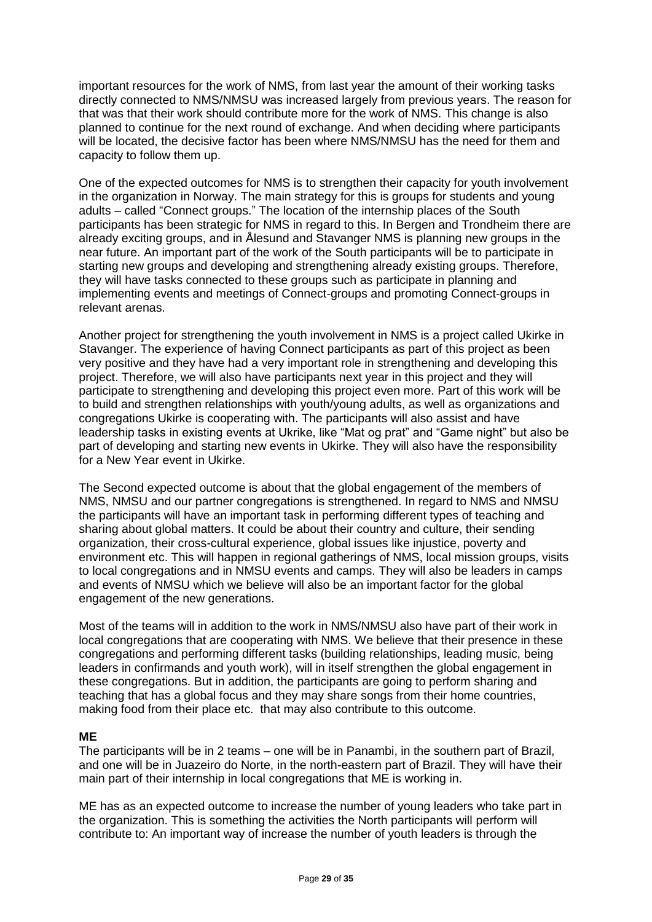important resources for the work of NMS, from last year the amount of their working tasks directly connected to NMS/NMSU was increased largely from previous years. The reason for that was that their work should contribute more for the work of NMS. This change is also planned to continue for the next round of exchange. And when deciding where participants will be located, the decisive factor has been where NMS/NMSU has the need for them and capacity to follow them up.

One of the expected outcomes for NMS is to strengthen their capacity for youth involvement in the organization in Norway. The main strategy for this is groups for students and young adults – called "Connect groups." The location of the internship places of the South participants has been strategic for NMS in regard to this. In Bergen and Trondheim there are already exciting groups, and in Ålesund and Stavanger NMS is planning new groups in the near future. An important part of the work of the South participants will be to participate in starting new groups and developing and strengthening already existing groups. Therefore, they will have tasks connected to these groups such as participate in planning and implementing events and meetings of Connect-groups and promoting Connect-groups in relevant arenas.

Another project for strengthening the youth involvement in NMS is a project called Ukirke in Stavanger. The experience of having Connect participants as part of this project as been very positive and they have had a very important role in strengthening and developing this project. Therefore, we will also have participants next year in this project and they will participate to strengthening and developing this project even more. Part of this work will be to build and strengthen relationships with youth/young adults, as well as organizations and congregations Ukirke is cooperating with. The participants will also assist and have leadership tasks in existing events at Ukrike, like "Mat og prat" and "Game night" but also be part of developing and starting new events in Ukirke. They will also have the responsibility for a New Year event in Ukirke.

The Second expected outcome is about that the global engagement of the members of NMS, NMSU and our partner congregations is strengthened. In regard to NMS and NMSU the participants will have an important task in performing different types of teaching and sharing about global matters. It could be about their country and culture, their sending organization, their cross-cultural experience, global issues like injustice, poverty and environment etc. This will happen in regional gatherings of NMS, local mission groups, visits to local congregations and in NMSU events and camps. They will also be leaders in camps and events of NMSU which we believe will also be an important factor for the global engagement of the new generations.

Most of the teams will in addition to the work in NMS/NMSU also have part of their work in local congregations that are cooperating with NMS. We believe that their presence in these congregations and performing different tasks (building relationships, leading music, being leaders in confirmands and youth work), will in itself strengthen the global engagement in these congregations. But in addition, the participants are going to perform sharing and teaching that has a global focus and they may share songs from their home countries, making food from their place etc. that may also contribute to this outcome.

### **ME**

The participants will be in 2 teams – one will be in Panambi, in the southern part of Brazil, and one will be in Juazeiro do Norte, in the north-eastern part of Brazil. They will have their main part of their internship in local congregations that ME is working in.

ME has as an expected outcome to increase the number of young leaders who take part in the organization. This is something the activities the North participants will perform will contribute to: An important way of increase the number of youth leaders is through the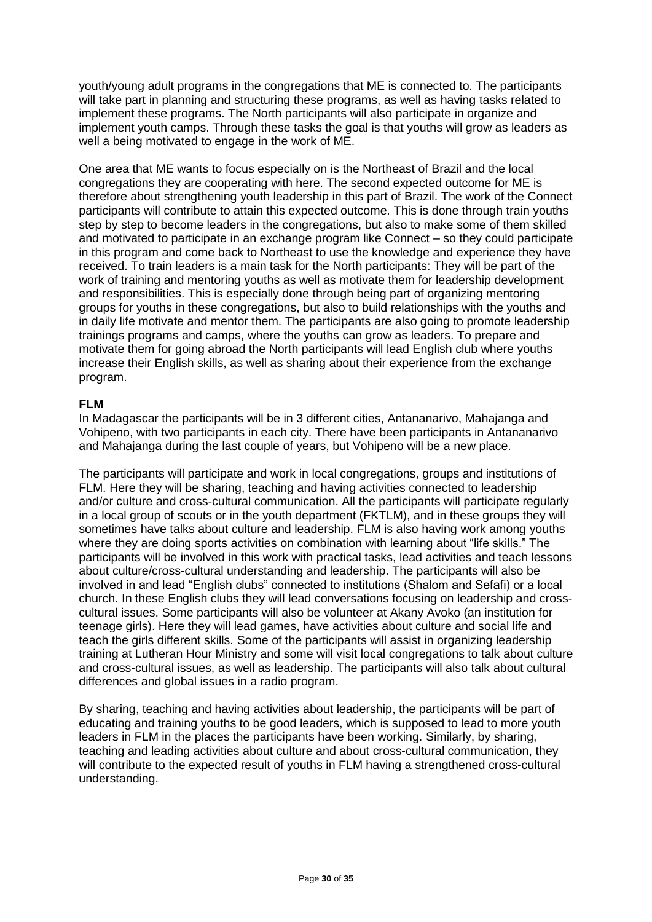youth/young adult programs in the congregations that ME is connected to. The participants will take part in planning and structuring these programs, as well as having tasks related to implement these programs. The North participants will also participate in organize and implement youth camps. Through these tasks the goal is that youths will grow as leaders as well a being motivated to engage in the work of ME.

One area that ME wants to focus especially on is the Northeast of Brazil and the local congregations they are cooperating with here. The second expected outcome for ME is therefore about strengthening youth leadership in this part of Brazil. The work of the Connect participants will contribute to attain this expected outcome. This is done through train youths step by step to become leaders in the congregations, but also to make some of them skilled and motivated to participate in an exchange program like Connect – so they could participate in this program and come back to Northeast to use the knowledge and experience they have received. To train leaders is a main task for the North participants: They will be part of the work of training and mentoring youths as well as motivate them for leadership development and responsibilities. This is especially done through being part of organizing mentoring groups for youths in these congregations, but also to build relationships with the youths and in daily life motivate and mentor them. The participants are also going to promote leadership trainings programs and camps, where the youths can grow as leaders. To prepare and motivate them for going abroad the North participants will lead English club where youths increase their English skills, as well as sharing about their experience from the exchange program.

### **FLM**

In Madagascar the participants will be in 3 different cities, Antananarivo, Mahajanga and Vohipeno, with two participants in each city. There have been participants in Antananarivo and Mahajanga during the last couple of years, but Vohipeno will be a new place.

The participants will participate and work in local congregations, groups and institutions of FLM. Here they will be sharing, teaching and having activities connected to leadership and/or culture and cross-cultural communication. All the participants will participate regularly in a local group of scouts or in the youth department (FKTLM), and in these groups they will sometimes have talks about culture and leadership. FLM is also having work among youths where they are doing sports activities on combination with learning about "life skills." The participants will be involved in this work with practical tasks, lead activities and teach lessons about culture/cross-cultural understanding and leadership. The participants will also be involved in and lead "English clubs" connected to institutions (Shalom and Sefafi) or a local church. In these English clubs they will lead conversations focusing on leadership and crosscultural issues. Some participants will also be volunteer at Akany Avoko (an institution for teenage girls). Here they will lead games, have activities about culture and social life and teach the girls different skills. Some of the participants will assist in organizing leadership training at Lutheran Hour Ministry and some will visit local congregations to talk about culture and cross-cultural issues, as well as leadership. The participants will also talk about cultural differences and global issues in a radio program.

By sharing, teaching and having activities about leadership, the participants will be part of educating and training youths to be good leaders, which is supposed to lead to more youth leaders in FLM in the places the participants have been working. Similarly, by sharing, teaching and leading activities about culture and about cross-cultural communication, they will contribute to the expected result of youths in FLM having a strengthened cross-cultural understanding.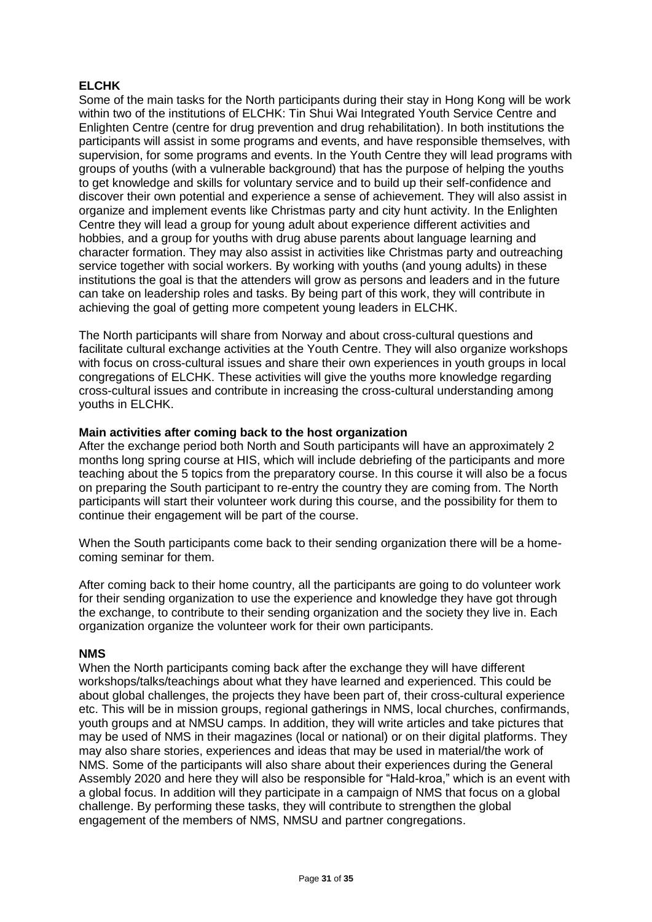# **ELCHK**

Some of the main tasks for the North participants during their stay in Hong Kong will be work within two of the institutions of ELCHK: Tin Shui Wai Integrated Youth Service Centre and Enlighten Centre (centre for drug prevention and drug rehabilitation). In both institutions the participants will assist in some programs and events, and have responsible themselves, with supervision, for some programs and events. In the Youth Centre they will lead programs with groups of youths (with a vulnerable background) that has the purpose of helping the youths to get knowledge and skills for voluntary service and to build up their self-confidence and discover their own potential and experience a sense of achievement. They will also assist in organize and implement events like Christmas party and city hunt activity. In the Enlighten Centre they will lead a group for young adult about experience different activities and hobbies, and a group for youths with drug abuse parents about language learning and character formation. They may also assist in activities like Christmas party and outreaching service together with social workers. By working with youths (and young adults) in these institutions the goal is that the attenders will grow as persons and leaders and in the future can take on leadership roles and tasks. By being part of this work, they will contribute in achieving the goal of getting more competent young leaders in ELCHK.

The North participants will share from Norway and about cross-cultural questions and facilitate cultural exchange activities at the Youth Centre. They will also organize workshops with focus on cross-cultural issues and share their own experiences in youth groups in local congregations of ELCHK. These activities will give the youths more knowledge regarding cross-cultural issues and contribute in increasing the cross-cultural understanding among youths in ELCHK.

### **Main activities after coming back to the host organization**

After the exchange period both North and South participants will have an approximately 2 months long spring course at HIS, which will include debriefing of the participants and more teaching about the 5 topics from the preparatory course. In this course it will also be a focus on preparing the South participant to re-entry the country they are coming from. The North participants will start their volunteer work during this course, and the possibility for them to continue their engagement will be part of the course.

When the South participants come back to their sending organization there will be a homecoming seminar for them.

After coming back to their home country, all the participants are going to do volunteer work for their sending organization to use the experience and knowledge they have got through the exchange, to contribute to their sending organization and the society they live in. Each organization organize the volunteer work for their own participants.

#### **NMS**

When the North participants coming back after the exchange they will have different workshops/talks/teachings about what they have learned and experienced. This could be about global challenges, the projects they have been part of, their cross-cultural experience etc. This will be in mission groups, regional gatherings in NMS, local churches, confirmands, youth groups and at NMSU camps. In addition, they will write articles and take pictures that may be used of NMS in their magazines (local or national) or on their digital platforms. They may also share stories, experiences and ideas that may be used in material/the work of NMS. Some of the participants will also share about their experiences during the General Assembly 2020 and here they will also be responsible for "Hald-kroa," which is an event with a global focus. In addition will they participate in a campaign of NMS that focus on a global challenge. By performing these tasks, they will contribute to strengthen the global engagement of the members of NMS, NMSU and partner congregations.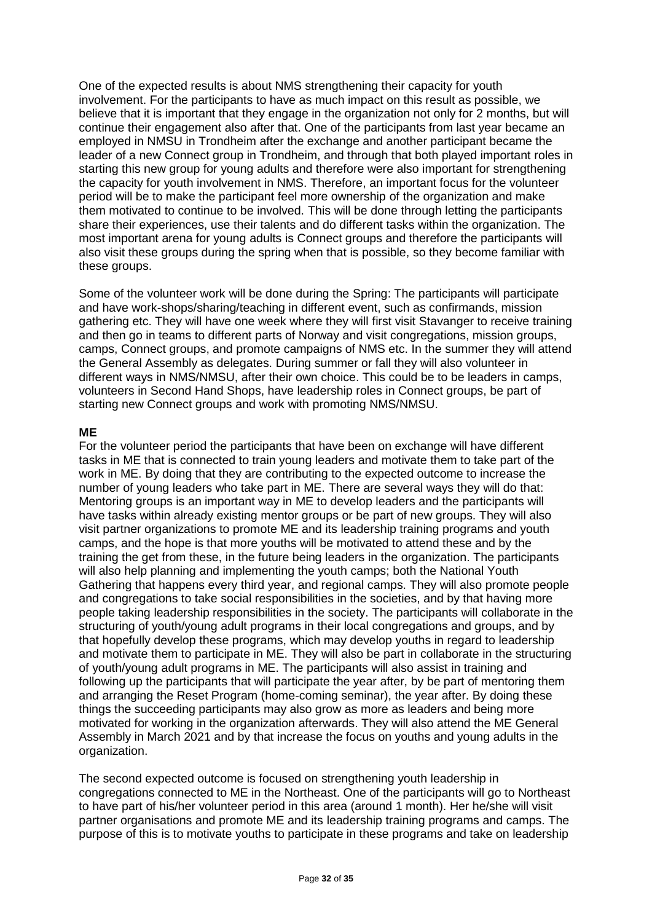One of the expected results is about NMS strengthening their capacity for youth involvement. For the participants to have as much impact on this result as possible, we believe that it is important that they engage in the organization not only for 2 months, but will continue their engagement also after that. One of the participants from last year became an employed in NMSU in Trondheim after the exchange and another participant became the leader of a new Connect group in Trondheim, and through that both played important roles in starting this new group for young adults and therefore were also important for strengthening the capacity for youth involvement in NMS. Therefore, an important focus for the volunteer period will be to make the participant feel more ownership of the organization and make them motivated to continue to be involved. This will be done through letting the participants share their experiences, use their talents and do different tasks within the organization. The most important arena for young adults is Connect groups and therefore the participants will also visit these groups during the spring when that is possible, so they become familiar with these groups.

Some of the volunteer work will be done during the Spring: The participants will participate and have work-shops/sharing/teaching in different event, such as confirmands, mission gathering etc. They will have one week where they will first visit Stavanger to receive training and then go in teams to different parts of Norway and visit congregations, mission groups, camps, Connect groups, and promote campaigns of NMS etc. In the summer they will attend the General Assembly as delegates. During summer or fall they will also volunteer in different ways in NMS/NMSU, after their own choice. This could be to be leaders in camps, volunteers in Second Hand Shops, have leadership roles in Connect groups, be part of starting new Connect groups and work with promoting NMS/NMSU.

### **ME**

For the volunteer period the participants that have been on exchange will have different tasks in ME that is connected to train young leaders and motivate them to take part of the work in ME. By doing that they are contributing to the expected outcome to increase the number of young leaders who take part in ME. There are several ways they will do that: Mentoring groups is an important way in ME to develop leaders and the participants will have tasks within already existing mentor groups or be part of new groups. They will also visit partner organizations to promote ME and its leadership training programs and youth camps, and the hope is that more youths will be motivated to attend these and by the training the get from these, in the future being leaders in the organization. The participants will also help planning and implementing the youth camps; both the National Youth Gathering that happens every third year, and regional camps. They will also promote people and congregations to take social responsibilities in the societies, and by that having more people taking leadership responsibilities in the society. The participants will collaborate in the structuring of youth/young adult programs in their local congregations and groups, and by that hopefully develop these programs, which may develop youths in regard to leadership and motivate them to participate in ME. They will also be part in collaborate in the structuring of youth/young adult programs in ME. The participants will also assist in training and following up the participants that will participate the year after, by be part of mentoring them and arranging the Reset Program (home-coming seminar), the year after. By doing these things the succeeding participants may also grow as more as leaders and being more motivated for working in the organization afterwards. They will also attend the ME General Assembly in March 2021 and by that increase the focus on youths and young adults in the organization.

The second expected outcome is focused on strengthening youth leadership in congregations connected to ME in the Northeast. One of the participants will go to Northeast to have part of his/her volunteer period in this area (around 1 month). Her he/she will visit partner organisations and promote ME and its leadership training programs and camps. The purpose of this is to motivate youths to participate in these programs and take on leadership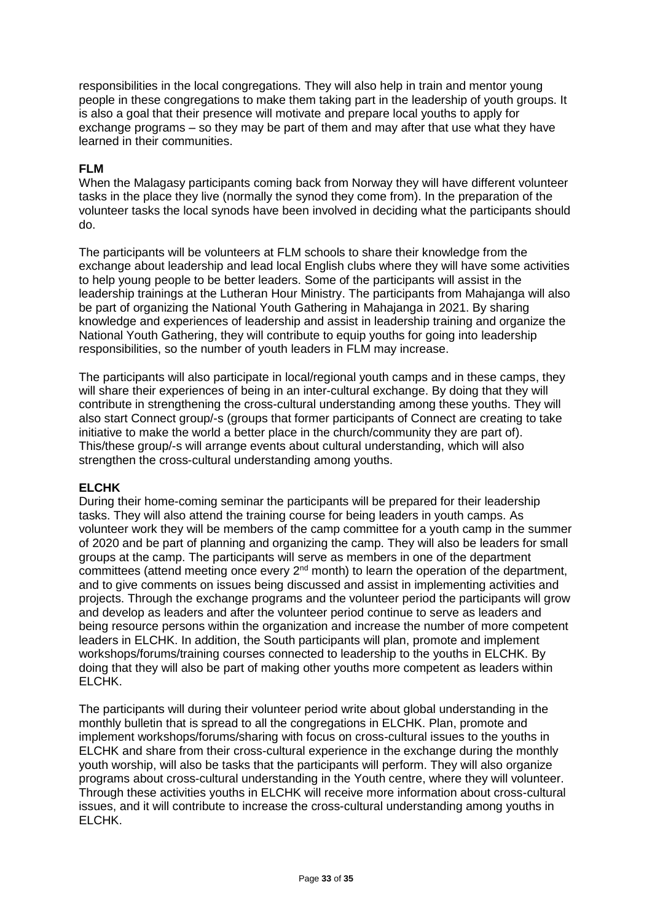responsibilities in the local congregations. They will also help in train and mentor young people in these congregations to make them taking part in the leadership of youth groups. It is also a goal that their presence will motivate and prepare local youths to apply for exchange programs – so they may be part of them and may after that use what they have learned in their communities.

### **FLM**

When the Malagasy participants coming back from Norway they will have different volunteer tasks in the place they live (normally the synod they come from). In the preparation of the volunteer tasks the local synods have been involved in deciding what the participants should do.

The participants will be volunteers at FLM schools to share their knowledge from the exchange about leadership and lead local English clubs where they will have some activities to help young people to be better leaders. Some of the participants will assist in the leadership trainings at the Lutheran Hour Ministry. The participants from Mahajanga will also be part of organizing the National Youth Gathering in Mahajanga in 2021. By sharing knowledge and experiences of leadership and assist in leadership training and organize the National Youth Gathering, they will contribute to equip youths for going into leadership responsibilities, so the number of youth leaders in FLM may increase.

The participants will also participate in local/regional youth camps and in these camps, they will share their experiences of being in an inter-cultural exchange. By doing that they will contribute in strengthening the cross-cultural understanding among these youths. They will also start Connect group/-s (groups that former participants of Connect are creating to take initiative to make the world a better place in the church/community they are part of). This/these group/-s will arrange events about cultural understanding, which will also strengthen the cross-cultural understanding among youths.

# **ELCHK**

During their home-coming seminar the participants will be prepared for their leadership tasks. They will also attend the training course for being leaders in youth camps. As volunteer work they will be members of the camp committee for a youth camp in the summer of 2020 and be part of planning and organizing the camp. They will also be leaders for small groups at the camp. The participants will serve as members in one of the department committees (attend meeting once every  $2^{nd}$  month) to learn the operation of the department, and to give comments on issues being discussed and assist in implementing activities and projects. Through the exchange programs and the volunteer period the participants will grow and develop as leaders and after the volunteer period continue to serve as leaders and being resource persons within the organization and increase the number of more competent leaders in ELCHK. In addition, the South participants will plan, promote and implement workshops/forums/training courses connected to leadership to the youths in ELCHK. By doing that they will also be part of making other youths more competent as leaders within ELCHK.

The participants will during their volunteer period write about global understanding in the monthly bulletin that is spread to all the congregations in ELCHK. Plan, promote and implement workshops/forums/sharing with focus on cross-cultural issues to the youths in ELCHK and share from their cross-cultural experience in the exchange during the monthly youth worship, will also be tasks that the participants will perform. They will also organize programs about cross-cultural understanding in the Youth centre, where they will volunteer. Through these activities youths in ELCHK will receive more information about cross-cultural issues, and it will contribute to increase the cross-cultural understanding among youths in ELCHK.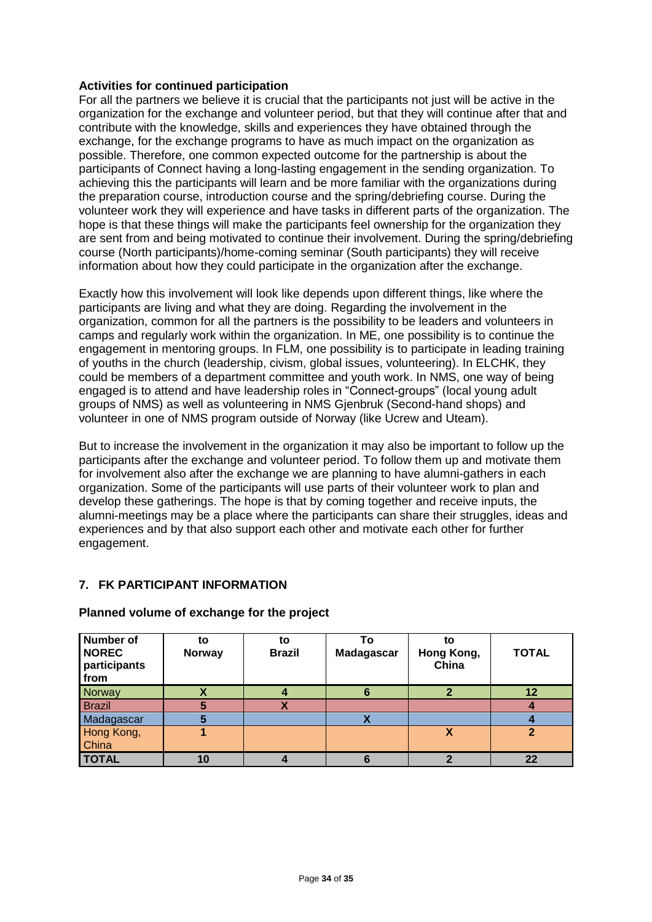### **Activities for continued participation**

For all the partners we believe it is crucial that the participants not just will be active in the organization for the exchange and volunteer period, but that they will continue after that and contribute with the knowledge, skills and experiences they have obtained through the exchange, for the exchange programs to have as much impact on the organization as possible. Therefore, one common expected outcome for the partnership is about the participants of Connect having a long-lasting engagement in the sending organization. To achieving this the participants will learn and be more familiar with the organizations during the preparation course, introduction course and the spring/debriefing course. During the volunteer work they will experience and have tasks in different parts of the organization. The hope is that these things will make the participants feel ownership for the organization they are sent from and being motivated to continue their involvement. During the spring/debriefing course (North participants)/home-coming seminar (South participants) they will receive information about how they could participate in the organization after the exchange.

Exactly how this involvement will look like depends upon different things, like where the participants are living and what they are doing. Regarding the involvement in the organization, common for all the partners is the possibility to be leaders and volunteers in camps and regularly work within the organization. In ME, one possibility is to continue the engagement in mentoring groups. In FLM, one possibility is to participate in leading training of youths in the church (leadership, civism, global issues, volunteering). In ELCHK, they could be members of a department committee and youth work. In NMS, one way of being engaged is to attend and have leadership roles in "Connect-groups" (local young adult groups of NMS) as well as volunteering in NMS Gjenbruk (Second-hand shops) and volunteer in one of NMS program outside of Norway (like Ucrew and Uteam).

But to increase the involvement in the organization it may also be important to follow up the participants after the exchange and volunteer period. To follow them up and motivate them for involvement also after the exchange we are planning to have alumni-gathers in each organization. Some of the participants will use parts of their volunteer work to plan and develop these gatherings. The hope is that by coming together and receive inputs, the alumni-meetings may be a place where the participants can share their struggles, ideas and experiences and by that also support each other and motivate each other for further engagement.

# **7. FK PARTICIPANT INFORMATION**

| <b>Number of</b><br><b>NOREC</b><br>participants<br>from | to<br><b>Norway</b> | to<br><b>Brazil</b>      | То<br><b>Madagascar</b> | to<br>Hong Kong,<br>China | <b>TOTAL</b>   |
|----------------------------------------------------------|---------------------|--------------------------|-------------------------|---------------------------|----------------|
| Norway                                                   |                     |                          | 6                       |                           | 12             |
| <b>Brazil</b>                                            |                     | $\overline{\phantom{a}}$ |                         |                           |                |
| Madagascar                                               |                     |                          |                         |                           |                |
| Hong Kong,                                               |                     |                          |                         | X                         | $\overline{2}$ |
| China                                                    |                     |                          |                         |                           |                |
| <b>TOTAL</b>                                             | 10                  |                          |                         |                           | 22             |

### **Planned volume of exchange for the project**